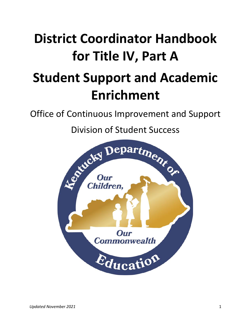# **District Coordinator Handbook for Title IV, Part A**

## **Student Support and Academic Enrichment**

Office of Continuous Improvement and Support

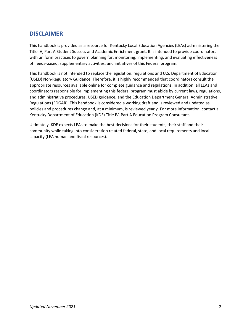### <span id="page-1-0"></span>**DISCLAIMER**

This handbook is provided as a resource for Kentucky Local Education Agencies (LEAs) administering the Title IV, Part A Student Success and Academic Enrichment grant. It is intended to provide coordinators with uniform practices to govern planning for, monitoring, implementing, and evaluating effectiveness of needs-based, supplementary activities, and initiatives of this Federal program.

This handbook is not intended to replace the legislation, regulations and U.S. Department of Education (USED) Non-Regulatory Guidance. Therefore, it is highly recommended that coordinators consult the appropriate resources available online for complete guidance and regulations. In addition, all LEAs and coordinators responsible for implementing this federal program must abide by current laws, regulations, and administrative procedures, USED guidance, and the Education Department General Administrative Regulations (EDGAR). This handbook is considered a working draft and is reviewed and updated as policies and procedures change and, at a minimum, is reviewed yearly. For more information, contact a Kentucky Department of Education (KDE) Title IV, Part A Education Program Consultant.

Ultimately, KDE expects LEAs to make the best decisions for their students, their staff and their community while taking into consideration related federal, state, and local requirements and local capacity (LEA human and fiscal resources).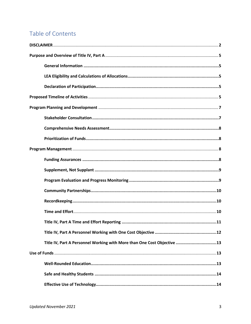## Table of Contents

| Title IV, Part A Personnel Working with More than One Cost Objective 13 |
|-------------------------------------------------------------------------|
|                                                                         |
|                                                                         |
|                                                                         |
|                                                                         |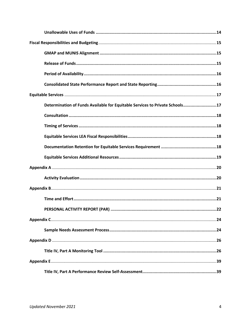| Determination of Funds Available for Equitable Services to Private Schools17 |
|------------------------------------------------------------------------------|
|                                                                              |
|                                                                              |
|                                                                              |
|                                                                              |
|                                                                              |
|                                                                              |
|                                                                              |
|                                                                              |
|                                                                              |
|                                                                              |
|                                                                              |
|                                                                              |
|                                                                              |
|                                                                              |
|                                                                              |
|                                                                              |
|                                                                              |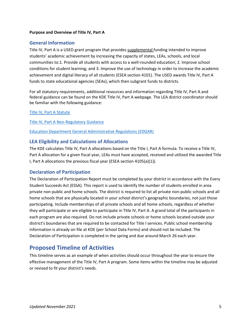#### <span id="page-4-0"></span>**Purpose and Overview of Title IV, Part A**

#### <span id="page-4-1"></span>**General Information**

Title IV, Part A is a USED grant program that provides supplemental funding intended to improve students' academic achievement by increasing the capacity of states, LEAs, schools, and local communities to:1. Provide all students with access to a well-rounded education; 2. Improve school conditions for student learning; and 3. Improve the use of technology in order to increase the academic achievement and digital literacy of all students (ESEA section 4101). The USED awards Title IV, Part A funds to state educational agencies (SEAs), which then subgrant funds to districts.

For all statutory requirements, additional resources and information regarding Title IV, Part A and federal guidance can be found on th[e KDE Title IV, Part A webpage.](https://education.ky.gov/school/Pages/Title-IV,-Part-A.aspx) The LEA district coordinator should be familiar with the following guidance:

[Title IV, Part A Statute](https://safesupportivelearning.ed.gov/title-iv-part-a-statute)

[Title IV, Part A Non-Regulatory Guidance](https://www2.ed.gov/policy/elsec/leg/essa/essassaegrantguid10212016.pdf)

[Education Department General Administrative Regulations \(EDGAR\)](https://www2.ed.gov/policy/fund/reg/edgarReg/edgar.html)

#### <span id="page-4-2"></span>**LEA Eligibility and Calculations of Allocations**

The KDE calculates Title IV, Part A allocations based on the Title I, Part A formula. To receive a Title IV, Part A allocation for a given fiscal year, LEAs must have accepted, received and utilized the awarded Title I, Part A allocations the previous fiscal year (ESEA section 4105(a)(1)).

#### <span id="page-4-3"></span>**Declaration of Participation**

The Declaration of Participation Report must be completed by your district in accordance with the Every Student Succeeds Act (ESSA). This report is used to identify the number of students enrolled in area private non-public and home schools. The district is required to list all private non-public schools and all home schools that are physically located in your school district's geographic boundaries, not just those participating. Include memberships of all private schools and all home schools, regardless of whether they will participate or are eligible to participate in Title IV, Part A. A grand total of the participants in each program are also required. Do not include private schools or home schools located outside your district's boundaries that are required to be contacted for Title I services. Public school membership information is already on file at KDE (per School Data Forms) and should not be included. The Declaration of Participation is completed in the spring and due around March 26 each year.

#### <span id="page-4-4"></span>**Proposed Timeline of Activities**

This timeline serves as an example of when activities should occur throughout the year to ensure the effective management of the Title IV, Part A program. Some items within the timeline may be adjusted or revised to fit your district's needs.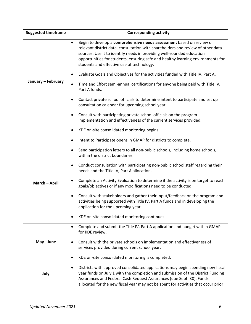| <b>Suggested timeframe</b> | <b>Corresponding activity</b>                                                                                                                                                                                                                                                                                                                                                 |
|----------------------------|-------------------------------------------------------------------------------------------------------------------------------------------------------------------------------------------------------------------------------------------------------------------------------------------------------------------------------------------------------------------------------|
|                            | Begin to develop a comprehensive needs assessment based on review of<br>$\bullet$<br>relevant district data, consultation with shareholders and review of other data<br>sources. Use it to identify needs in providing well-rounded education<br>opportunities for students, ensuring safe and healthy learning environments for<br>students and effective use of technology. |
|                            | Evaluate Goals and Objectives for the activities funded with Title IV, Part A.<br>$\bullet$                                                                                                                                                                                                                                                                                   |
| January - February         | Time and Effort semi-annual certifications for anyone being paid with Title IV,<br>$\bullet$<br>Part A funds.                                                                                                                                                                                                                                                                 |
|                            | Contact private school officials to determine intent to participate and set up<br>$\bullet$<br>consultation calendar for upcoming school year.                                                                                                                                                                                                                                |
|                            | Consult with participating private school officials on the program<br>$\bullet$<br>implementation and effectiveness of the current services provided.                                                                                                                                                                                                                         |
|                            | KDE on-site consolidated monitoring begins.<br>٠                                                                                                                                                                                                                                                                                                                              |
|                            | Intent to Participate opens in GMAP for districts to complete.<br>$\bullet$                                                                                                                                                                                                                                                                                                   |
|                            | Send participation letters to all non-public schools, including home schools,<br>$\bullet$<br>within the district boundaries.                                                                                                                                                                                                                                                 |
|                            | Conduct consultation with participating non-public school staff regarding their<br>$\bullet$<br>needs and the Title IV, Part A allocation.                                                                                                                                                                                                                                    |
| March - April              | Complete an Activity Evaluation to determine if the activity is on target to reach<br>$\bullet$<br>goals/objectives or if any modifications need to be conducted.                                                                                                                                                                                                             |
|                            | Consult with stakeholders and gather their input/feedback on the program and<br>$\bullet$<br>activities being supported with Title IV, Part A funds and in developing the<br>application for the upcoming year.                                                                                                                                                               |
|                            | KDE on-site consolidated monitoring continues.<br>$\bullet$                                                                                                                                                                                                                                                                                                                   |
|                            | Complete and submit the Title IV, Part A application and budget within GMAP<br>٠<br>for KDE review.                                                                                                                                                                                                                                                                           |
| May - June                 | Consult with the private schools on implementation and effectiveness of<br>services provided during current school year.                                                                                                                                                                                                                                                      |
|                            | KDE on-site consolidated monitoring is completed.<br>٠                                                                                                                                                                                                                                                                                                                        |
| July                       | Districts with approved consolidated applications may begin spending new fiscal<br>$\bullet$<br>year funds on July 1 with the completion and submission of the District Funding<br>Assurances and Federal Cash Request Assurances (due Sept. 30). Funds<br>allocated for the new fiscal year may not be spent for activities that occur prior                                 |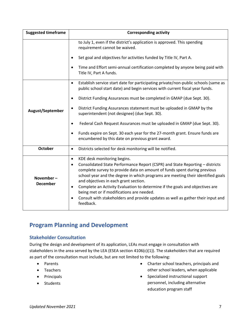| <b>Suggested timeframe</b>   | <b>Corresponding activity</b>                                                                                                                                                                                                                                                                                                                                                                                                                                                                                                                                                                |  |  |  |  |
|------------------------------|----------------------------------------------------------------------------------------------------------------------------------------------------------------------------------------------------------------------------------------------------------------------------------------------------------------------------------------------------------------------------------------------------------------------------------------------------------------------------------------------------------------------------------------------------------------------------------------------|--|--|--|--|
|                              | to July 1, even if the district's application is approved. This spending<br>requirement cannot be waived.                                                                                                                                                                                                                                                                                                                                                                                                                                                                                    |  |  |  |  |
|                              | Set goal and objectives for activities funded by Title IV, Part A.                                                                                                                                                                                                                                                                                                                                                                                                                                                                                                                           |  |  |  |  |
|                              | Time and Effort semi-annual certification completed by anyone being paid with<br>٠<br>Title IV, Part A funds.                                                                                                                                                                                                                                                                                                                                                                                                                                                                                |  |  |  |  |
|                              | Establish service start date for participating private/non-public schools (same as<br>$\bullet$<br>public school start date) and begin services with current fiscal year funds.                                                                                                                                                                                                                                                                                                                                                                                                              |  |  |  |  |
|                              | District Funding Assurances must be completed in GMAP (due Sept. 30).<br>$\bullet$                                                                                                                                                                                                                                                                                                                                                                                                                                                                                                           |  |  |  |  |
| August/September             | District Funding Assurances statement must be uploaded in GMAP by the<br>$\bullet$<br>superintendent (not designee) (due Sept. 30).                                                                                                                                                                                                                                                                                                                                                                                                                                                          |  |  |  |  |
|                              | Federal Cash Request Assurances must be uploaded in GMAP (due Sept. 30).<br>$\bullet$                                                                                                                                                                                                                                                                                                                                                                                                                                                                                                        |  |  |  |  |
|                              | Funds expire on Sept. 30 each year for the 27-month grant. Ensure funds are<br>$\bullet$<br>encumbered by this date on previous grant award.                                                                                                                                                                                                                                                                                                                                                                                                                                                 |  |  |  |  |
| October                      | Districts selected for desk monitoring will be notified.<br>$\bullet$                                                                                                                                                                                                                                                                                                                                                                                                                                                                                                                        |  |  |  |  |
| November-<br><b>December</b> | KDE desk monitoring begins.<br>$\bullet$<br>Consolidated State Performance Report (CSPR) and State Reporting - districts<br>$\bullet$<br>complete survey to provide data on amount of funds spent during previous<br>school year and the degree in which programs are meeting their identified goals<br>and objectives in each grant section.<br>Complete an Activity Evaluation to determine if the goals and objectives are<br>$\bullet$<br>being met or if modifications are needed.<br>Consult with stakeholders and provide updates as well as gather their input and<br>٠<br>feedback. |  |  |  |  |

## <span id="page-6-0"></span>**Program Planning and Development**

#### <span id="page-6-1"></span>**Stakeholder Consultation**

During the design and development of its application, LEAs must engage in consultation with stakeholders in the area served by the LEA (ESEA section 4106(c)(1)). The stakeholders that are required as part of the consultation must include, but are not limited to the following:

- Parents
- Teachers
- Principals
- Students
- Charter school teachers, principals and other school leaders, when applicable
- Specialized instructional support personnel, including alternative education program staff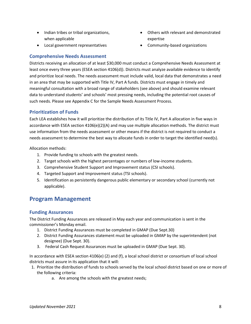- Indian tribes or tribal organizations, when applicable
- Local government representatives
- Others with relevant and demonstrated expertise
- Community-based organizations

#### <span id="page-7-0"></span>**Comprehensive Needs Assessment**

Districts receiving an allocation of at least \$30,000 must conduct a Comprehensive Needs Assessment at least once every three years (ESEA section 4106(d)). Districts must analyze available evidence to identify and prioritize local needs. The needs assessment must include valid, local data that demonstrates a need in an area that may be supported with Title IV, Part A funds. Districts must engage in timely and meaningful consultation with a broad range of stakeholders (see above) and should examine relevant data to understand students' and schools' most pressing needs, including the potential root causes of such needs. Please see Appendix C for the Sample Needs Assessment Process.

#### <span id="page-7-1"></span>**Prioritization of Funds**

Each LEA establishes how it will prioritize the distribution of its Title IV, Part A allocation in five ways in accordance with ESEA section 4106(e)(2)(A) and may use multiple allocation methods. The district must use information from the needs assessment or other means if the district is not required to conduct a needs assessment to determine the best way to allocate funds in order to target the identified need(s).

Allocation methods:

- 1. Provide funding to schools with the greatest needs.
- 2. Target schools with the highest percentages or numbers of low-income students.
- 3. Comprehensive Student Support and Improvement status (CSI schools).
- 4. Targeted Support and Improvement status (TSI schools).
- 5. Identification as persistently dangerous public elementary or secondary school (currently not applicable).

#### <span id="page-7-2"></span>**Program Management**

#### <span id="page-7-3"></span>**Funding Assurances**

The District Funding Assurances are released in May each year and communication is sent in the commissioner's Monday email.

- 1. District Funding Assurances must be completed in GMAP (Due Sept.30)
- 2. District Funding Assurances statement must be uploaded in GMAP by the superintendent (not designee) (Due Sept. 30).
- 3. Federal Cash Request Assurances must be uploaded in GMAP (Due Sept. 30).

In accordance with ESEA section 4106(e) (2) and (f), a local school district or consortium of local school districts must assure in its application that it will:

- 1. Prioritize the distribution of funds to schools served by the local school district based on one or more of the following criteria:
	- a. Are among the schools with the greatest needs;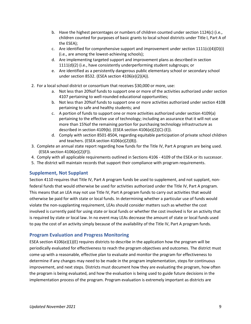- b. Have the highest percentages or numbers of children counted under section 1124(c) (i.e., children counted for purposes of basic grants to local school districts under Title I, Part A of the ESEA);
- c. Are identified for comprehensive support and improvement under section  $1111(c)(4)(D)(i)$ (i.e., are among the lowest-achieving schools);
- d. Are implementing targeted support and improvement plans as described in section 1111(d)(2) (i.e., have consistently underperforming student subgroups; or
- e. Are identified as a persistently dangerous public elementary school or secondary school under section 8532. (ESEA section 4106(e)(2)(A)).
- 2. For a local school district or consortium that receives \$30,000 or more, use:
	- a. Not less than 20%of funds to support one or more of the activities authorized under section 4107 pertaining to well-rounded educational opportunities;
	- b. Not less than 20%of funds to support one or more activities authorized under section 4108 pertaining to safe and healthy students; and
	- c. A portion of funds to support one or more activities authorized under section 4109(a) pertaining to the effective use of technology; including an assurance that it will not use more than 15%of the remaining portion for purchasing technology infrastructure as described in section 4109(b). (ESEA section 4106(e)(2)(C)-(E)).
	- d. Comply with section 8501-8504, regarding equitable participation of private school children and teachers. (ESEA section 4106(e)(2)(B)).
- 3. Complete an annual state report regarding how funds for the Title IV, Part A program are being used. (ESEA section 4106(e)(2)(F)).
- 4. Comply with all applicable requirements outlined in Sections 4106 4109 of the ESEA or its successor.
- 5. The district will maintain records that support their compliance with program requirements.

#### <span id="page-8-0"></span>**Supplement, Not Supplant**

Section 4110 requires that Title IV, Part A program funds be used to supplement, and not supplant, nonfederal funds that would otherwise be used for activities authorized under the Title IV, Part A program. This means that an LEA may not use Title IV, Part A program funds to carry out activities that would otherwise be paid for with state or local funds. In determining whether a particular use of funds would violate the non-supplanting requirement, LEAs should consider matters such as whether the cost involved is currently paid for using state or local funds or whether the cost involved is for an activity that is required by state or local law. In no event may LEAs decrease the amount of state or local funds used to pay the cost of an activity simply because of the availability of the Title IV, Part A program funds.

#### <span id="page-8-1"></span>**Program Evaluation and Progress Monitoring**

ESEA section 4106(e)(1)(E) requires districts to describe in the application how the program will be periodically evaluated for effectiveness to reach the program objectives and outcomes. The district must come up with a reasonable, effective plan to evaluate and monitor the program for effectiveness to determine if any changes may need to be made in the program implementation, steps for continuous improvement, and next steps. Districts must document how they are evaluating the program, how often the program is being evaluated, and how the evaluation is being used to guide future decisions in the implementation process of the program. Program evaluation is extremely important as districts are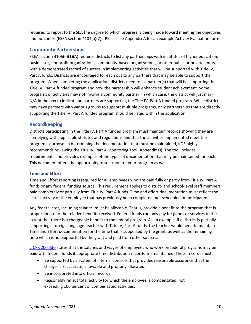required to report to the SEA the degree to which progress is being made toward meeting the objectives and outcomes (ESEA section 4104(a)(2)). Please see Appendix A for an example Activity Evaluation form.

#### <span id="page-9-0"></span>**Community Partnerships**

ESEA section 4106(e)(1)(A) requires districts to list any partnerships with institutes of higher education, businesses, nonprofit organizations, community-based organizations, or other public or private entity with a demonstrated record of success in implementing activities that will be supported with Title IV, Part A funds. Districts are encouraged to reach out to any partners that may be able to support the program. When completing the application, districts need to list partner(s) that will be supporting the Title IV, Part A funded program and how the partnership will enhance student achievement. Some programs or activities may not involve a community partner, in which case, the district will just mark N/A in the box to indicate no partners are supporting the Title IV, Part A funded program. While districts may have partners with various groups to support multiple programs, only partnerships that are directly supporting the Title IV, Part A funded program should be listed within the application.

#### <span id="page-9-1"></span>**Recordkeeping**

Districts participating in the Title IV, Part A funded program must maintain records showing they are complying with applicable statutes and regulations and that the activities implemented meet the program's purpose. In determining the documentation that must be maintained, KDE highly recommends reviewing the Title IV, Part A Monitoring Tool (Appendix D). The tool includes requirements and provides examples of the types of documentation that may be maintained for each. This document offers the opportunity to self-monitor your program as well.

#### <span id="page-9-2"></span>**Time and Effort**

Time and Effort reporting is required for all employees who are paid fully or partly from Title IV, Part A funds or any federal funding source. This requirement applies to district- and school-level staff members paid completely or partially from Title IV, Part A funds. Time and effort documentation must reflect the actual activity of the employee that has previously been completed, not scheduled or anticipated.

Any federal cost, including salaries, must be allocable. That is, provide a benefit to the program that is proportionate to the relative benefits received. Federal funds can only pay for goods or services to the extent that there is a chargeable benefit to the federal program. As an example, if a district is partially supporting a foreign language teacher with Title IV, Part A funds, the teacher would need to maintain Time and Effort documentation for the time that is supported by the grant, as well as the remaining time which is not supported by the grant and paid from other sources.

[2 CFR 200.430](https://www.govinfo.gov/content/pkg/CFR-2018-title2-vol1/pdf/CFR-2018-title2-vol1-sec200-430.pdf) states that the salaries and wages of employees who work on federal programs may be paid with federal funds if appropriate time distribution records are maintained. These records must:

- Be supported by a system of internal controls that provides reasonable assurance that the charges are accurate, allowable and properly allocated;
- Be incorporated into official records;
- Reasonably reflect total activity for which the employee is compensated, not exceeding 100 percent of compensated activities;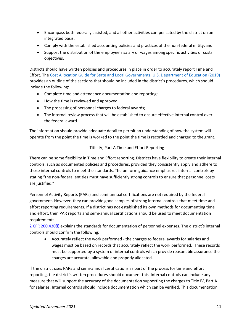- Encompass both federally assisted, and all other activities compensated by the district on an integrated basis;
- Comply with the established accounting policies and practices of the non-federal entity; and
- Support the distribution of the employee's salary or wages among specific activities or costs objectives.

Districts should have written policies and procedures in place in order to accurately report Time and Effort. The [Cost Allocation Guide for State and Local Governments, U.S. Department of Education \(2019\)](https://www2.ed.gov/about/offices/list/ocfo/fipao/costallocationguide92019.pdf) provides an outline of the sections that should be included in the district's procedures, which should include the following:

- Complete time and attendance documentation and reporting;
- How the time is reviewed and approved;
- The processing of personnel charges to federal awards;
- The internal review process that will be established to ensure effective internal control over the federal award.

The information should provide adequate detail to permit an understanding of how the system will operate from the point the time is worked to the point the time is recorded and charged to the grant.

#### Title IV, Part A Time and Effort Reporting

<span id="page-10-0"></span>There can be some flexibility in Time and Effort reporting. Districts have flexibility to create their internal controls, such as documented policies and procedures, provided they consistently apply and adhere to those internal controls to meet the standards. The uniform guidance emphasizes internal controls by stating "the non-federal entities must have sufficiently strong controls to ensure that personnel costs are justified."

Personnel Activity Reports (PARs) and semi-annual certifications are not required by the federal government. However, they can provide good samples of strong internal controls that meet time and effort reporting requirements. If a district has not established its own methods for documenting time and effort, then PAR reports and semi-annual certifications should be used to meet documentation requirements.

[2 CFR 200.430\(i\)](https://www.govinfo.gov/content/pkg/CFR-2018-title2-vol1/pdf/CFR-2018-title2-vol1-sec200-430.pdf) explains the standards for documentation of personnel expenses. The district's internal controls should confirm the following:

• Accurately reflect the work performed - the charges to federal awards for salaries and wages must be based on records that accurately reflect the work performed. These records must be supported by a system of internal controls which provide reasonable assurance the charges are accurate, allowable and properly allocated.

If the district uses PARs and semi-annual certifications as part of the process for time and effort reporting, the district's written procedures should document this. Internal controls can include any measure that will support the accuracy of the documentation supporting the charges to Title IV, Part A for salaries. Internal controls should include documentation which can be verified. This documentation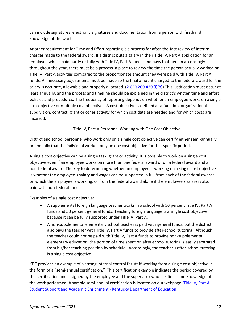can include signatures, electronic signatures and documentation from a person with firsthand knowledge of the work.

Another requirement for Time and Effort reporting is a process for after-the-fact review of interim charges made to the federal award. If a district puts a salary in their Title IV, Part A application for an employee who is paid partly or fully with Title IV, Part A funds, and pays that person accordingly throughout the year, there must be a process in place to review the time the person actually worked on Title IV, Part A activities compared to the proportionate amount they were paid with Title IV, Part A funds. All necessary adjustments must be made so the final amount charged to the federal award for the salary is accurate, allowable and properly allocated.  $(2$  CFR 200.430 (i)(8)) This justification must occur at least annually, and the process and timeline should be explained in the district's written time and effort policies and procedures. The frequency of reporting depends on whether an employee works on a single cost objective or multiple cost objectives. A cost objective is defined as a function, organizational subdivision, contract, grant or other activity for which cost data are needed and for which costs are incurred.

Title IV, Part A Personnel Working with One Cost Objective

<span id="page-11-0"></span>District and school personnel who work only on a single cost objective can certify either semi-annually or annually that the individual worked only on one cost objective for that specific period.

A single cost objective can be a single task, grant or activity. It is possible to work on a single cost objective even if an employee works on more than one federal award or on a federal award and a non-federal award. The key to determining whether an employee is working on a single cost objective is whether the employee's salary and wages can be supported in full from each of the federal awards on which the employee is working, or from the federal award alone if the employee's salary is also paid with non-federal funds.

Examples of a single cost objective:

- A supplemental foreign language teacher works in a school with 50 percent Title IV, Part A funds and 50 percent general funds. Teaching foreign language is a single cost objective because it can be fully supported under Title IV, Part A.
- A non-supplemental elementary school teacher is paid with general funds, but the district also pays the teacher with Title IV, Part A funds to provide after-school tutoring. Although the teacher could not be paid with Title IV, Part A funds to provide non-supplemental elementary education, the portion of time spent on after-school tutoring is easily separated from his/her teaching position by schedule. Accordingly, the teacher's after-school tutoring is a single cost objective.

KDE provides an example of a strong internal control for staff working from a single cost objective in the form of a "semi-annual certification." This certification example indicates the period covered by the certification and is signed by the employee and the supervisor who has first-hand knowledge of the work performed. A sample semi-annual certification is located on our webpage[: Title IV, Part A -](https://education.ky.gov/school/Pages/Title-IV,-Part-A.aspx) [Student Support and Academic Enrichment -](https://education.ky.gov/school/Pages/Title-IV,-Part-A.aspx) Kentucky Department of Education.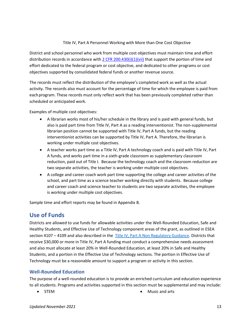#### Title IV, Part A Personnel Working with More than One Cost Objective

<span id="page-12-0"></span>District and school personnel who work from multiple cost objectives must maintain time and effort distribution records in accordance wit[h 2 CFR 200.430\(i\)\(1\)\(vii\)](https://www.govinfo.gov/content/pkg/CFR-2018-title2-vol1/pdf/CFR-2018-title2-vol1-sec200-430.pdf) that support the portion of time and effort dedicated to the federal program or cost objective, and dedicated to other programs or cost objectives supported by consolidated federal funds or another revenue source.

The records must reflect the distribution of the employee's completed work as well as the actual activity. The records also must account for the percentage of time for which the employee is paid from each program. These records must only reflect work that has been previously completed rather than scheduled or anticipated work.

Examples of multiple cost objectives:

- A librarian works most of his/her schedule in the library and is paid with general funds, but also is paid part time from Title IV, Part A as a reading interventionist. The non-supplemental librarian position cannot be supported with Title IV, Part A funds, but the reading interventionist activities can be supported by Title IV, Part A. Therefore, the librarian is working under multiple cost objectives.
- A teacher works part time as a Title IV, Part A technology coach and is paid with Title IV, Part A funds, and works part time in a sixth-grade classroom as supplementary classroom reduction, paid out of Title I. Because the technology coach and the classroom reduction are two separate activities, the teacher is working under multiple cost objectives.
- A college and career coach work part time supporting the college and career activities of the school, and part time as a science teacher working directly with students. Because college and career coach and science teacher to students are two separate activities, the employee is working under multiple cost objectives.

Sample time and effort reports may be found in Appendix B.

#### <span id="page-12-1"></span>**Use of Funds**

Districts are allowed to use funds for allowable activities under the Well-Rounded Education, Safe and Healthy Students, and Effective Use of Technology component areas of the grant, as outlined in ESEA section 4107 – 4109 and also described in the Title IV, Part A [Non Regulatory Guidance.](https://www2.ed.gov/policy/elsec/leg/essa/essassaegrantguid10212016.pdf) Districts that receive \$30,000 or more in Title IV, Part A funding must conduct a comprehensive needs assessment and also must allocate at least 20% in Well-Rounded Education, at least 20% in Safe and Healthy Students, and a portion in the Effective Use of Technology sections. The portion in Effective Use of Technology must be a reasonable amount to support a program or activity in this section.

#### <span id="page-12-2"></span>**Well-Rounded Education**

The purpose of a well-rounded education is to provide an enriched curriculum and education experience to all students. Programs and activities supported in this section must be supplemental and may include:

- 
- STEM Music and arts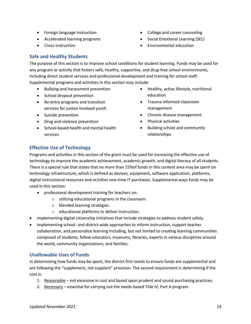- Foreign language instruction
- Accelerated learning programs
- Civics instruction
- College and career counseling
- Social Emotional Learning (SEL)
- Environmental education

#### <span id="page-13-0"></span>**Safe and Healthy Students**

The purpose of this section is to improve school conditions for student learning. Funds may be used for any program or activity that fosters safe, healthy, supportive, and drug-free school environments, including direct student services and professional development and training for school staff. Supplemental programs and activities in this section may include:

- Bullying and harassment prevention
- School dropout prevention
- Re-entry programs and transition services for justice involved youth
- Suicide prevention
- Drug and violence prevention
- School-based health and mental health services
- Healthy, active lifestyle, nutritional education
- Trauma informed classroom management
- Chronic disease management
- Physical activities
- Building school and community relationships

#### <span id="page-13-1"></span>**Effective Use of Technology**

Programs and activities in this section of the grant must be used for increasing the effective use of technology to improve the academic achievement, academic growth, and digital literacy of all students. There is a special rule that states that no more than 15%of funds in this content area may be spent on technology infrastructure, which is defined as devices, equipment, software application, platforms, digital instructional resources and or/other one-time IT purchases. Supplemental ways funds may be used in this section:

- professional development training for teachers on:
	- o utilizing educational programs in the classroom.
	- o blended learning strategies.
	- o educational platforms to deliver instruction.
- implementing digital citizenship initiatives that include strategies to address student safety.
- implementing school- and district-wide approaches to inform instruction, support teacher collaboration, and personalize learning including, but not limited to creating learning communities composed of students, fellow educators, museums, libraries, experts in various disciplines around the world, community organizations, and families.

#### <span id="page-13-2"></span>**Unallowable Uses of Funds**

In determining how funds may be spent, the district first needs to ensure funds are supplemental and are following the "supplement, not supplant" provision. The second requirement is determining if the cost is:

- 1. Reasonable not excessive in cost and based upon prudent and sound purchasing practices.
- 2. Necessary essential for carrying out the needs-based Title IV, Part A program.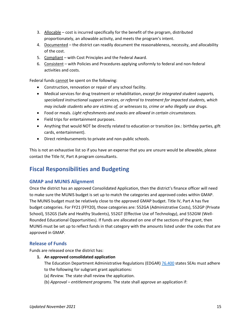- 3. Allocable cost is incurred specifically for the benefit of the program, distributed proportionately, an allowable activity, and meets the program's intent.
- 4. Documented the district can readily document the reasonableness, necessity, and allocability of the cost.
- 5. Compliant with Cost Principles and the Federal Award.
- 6. Consistent with Policies and Procedures applying uniformly to federal and non-federal activities and costs.

Federal funds cannot be spent on the following:

- Construction, renovation or repair of any school facility.
- Medical services for drug treatment or rehabilitation, *except for integrated student supports, specialized instructional support services, or referral to treatment for impacted students, which may include students who are victims of, or witnesses to, crime or who illegally use drugs.*
- Food or meals. *Light refreshments and snacks are allowed in certain circumstances.*
- Field trips for entertainment purposes.
- Anything that would NOT be directly related to education or transition (ex.: birthday parties, gift cards, entertainment).
- Direct reimbursements to private and non-public schools.

This is not an exhaustive list so if you have an expense that you are unsure would be allowable, please contact the Title IV, Part A program consultants.

## <span id="page-14-0"></span>**Fiscal Responsibilities and Budgeting**

#### <span id="page-14-1"></span>**GMAP and MUNIS Alignment**

Once the district has an approved Consolidated Application, then the district's finance officer will need to make sure the MUNIS budget is set up to match the categories and approved codes within GMAP. The MUNIS budget must be relatively close to the approved GMAP budget. Title IV, Part A has five budget categories. For FY21 (FFY20), those categories are: 552GA (Administrative Costs), 552GP (Private School), 552GS (Safe and Healthy Students), 552GT (Effective Use of Technology), and 552GW (Well-Rounded Educational Opportunities). If funds are allocated on one of the sections of the grant, then MUNIS must be set up to reflect funds in that category with the amounts listed under the codes that are approved in GMAP.

#### <span id="page-14-2"></span>**Release of Funds**

Funds are released once the district has:

**1. An approved consolidated application**

The Education Department Administrative Regulations (EDGAR[\) 76.400](https://www.ecfr.gov/cgi-bin/text-idx?SID=393301a7cdccca1ea71f18aae51824e7&node=34:1.1.1.1.23&rgn=div5#se34.1.76_1400) states SEAs must adhere to the following for subgrant grant applications:

- (a) *Review.* The state shall review the application.
- (b) *Approval – entitlement programs.* The state shall approve an application if: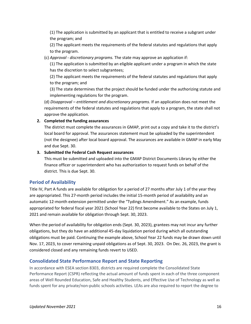(1) The application is submitted by an applicant that is entitled to receive a subgrant under the program; and

(2) The applicant meets the requirements of the federal statutes and regulations that apply to the program.

(c) *Approval - discretionary programs.* The state may approve an application if:

(1) The application is submitted by an eligible applicant under a program in which the state has the discretion to select subgrantees;

(2) The applicant meets the requirements of the federal statutes and regulations that apply to the program; and

(3) The state determines that the project should be funded under the authorizing statute and implementing regulations for the program.

(d) *Disapproval – entitlement and discretionary programs.* If an application does not meet the requirements of the federal statutes and regulations that apply to a program, the state shall not approve the application.

#### **2. Completed the funding assurances**

The district must complete the assurances in GMAP, print out a copy and take it to the district's local board for approval. The assurances statement must be uploaded by the superintendent (not the designee) after local board approval. The assurances are available in GMAP in early May and due Sept. 30.

#### **3. Submitted the Federal Cash Request assurances**

This must be submitted and uploaded into the GMAP District Documents Library by either the finance officer or superintendent who has authorization to request funds on behalf of the district. This is due Sept. 30.

#### <span id="page-15-0"></span>**Period of Availability**

Title IV, Part A funds are available for obligation for a period of 27 months after July 1 of the year they are appropriated. This 27-month period includes the initial 15-month period of availability and an automatic 12-month extension permitted under the "Tydings Amendment." As an example, funds appropriated for federal fiscal year 2021 (School Year 22) first become available to the States on July 1, 2021 and remain available for obligation through Sept. 30, 2023.

When the period of availability for obligation ends (Sept. 30, 2023), grantees may not incur any further obligations, but they do have an additional 45-day liquidation period during which all outstanding obligations must be paid. Continuing the example above, School Year 22 funds may be drawn down until Nov. 17, 2023, to cover remaining unpaid obligations as of Sept. 30, 2023. On Dec. 26, 2023, the grant is considered closed and any remaining funds revert to USED.

#### <span id="page-15-1"></span>**Consolidated State Performance Report and State Reporting**

In accordance with ESEA section 8303, districts are required complete the Consolidated State Performance Report (CSPR) reflecting the actual amount of funds spent in each of the three component areas of Well Rounded Education, Safe and Healthy Students, and Effective Use of Technology as well as funds spent for any private/non-public schools activities. LEAs are also required to report the degree to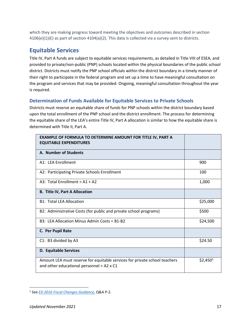which they are making progress toward meeting the objectives and outcomes described in section 4106(e)(1)(E) as part of section 4104(a)(2). This data is collected via a survey sent to districts.

## <span id="page-16-0"></span>**Equitable Services**

Title IV, Part A funds are subject to equitable services requirements, as detailed in Title VIII of ESEA, and provided to private/non-public (PNP) schools located within the physical boundaries of the public school district. Districts must notify the PNP school officials within the district boundary in a timely manner of their right to participate in the federal program and set up a time to have meaningful consultation on the program and services that may be provided. Ongoing, meaningful consultation throughout the year is required.

#### <span id="page-16-1"></span>**Determination of Funds Available for Equitable Services to Private Schools**

Districts must reserve an equitable share of funds for PNP schools within the district boundary based upon the total enrollment of the PNP school and the district enrollment. The process for determining the equitable share of the LEA's entire Title IV, Part A allocation is similar to how the equitable share is determined with Title II, Part A.

| <b>EXAMPLE OF FORMULA TO DETERMINE AMOUNT FOR TITLE IV, PART A</b><br><b>EQUITABLE EXPENDITURES</b>                            |            |
|--------------------------------------------------------------------------------------------------------------------------------|------------|
| A. Number of Students                                                                                                          |            |
| A1: LEA Enrollment                                                                                                             | 900        |
| A2: Participating Private Schools Enrollment                                                                                   | 100        |
| A3: Total Enrollment = $A1 + A2$                                                                                               | 1,000      |
| <b>B. Title IV, Part A Allocation</b>                                                                                          |            |
| <b>B1: Total LEA Allocation</b>                                                                                                | \$25,000   |
| B2: Administrative Costs (for public and private school programs)                                                              | \$500      |
| B3: LEA Allocation Minus Admin Costs = B1-B2                                                                                   | \$24,500   |
| C. Per Pupil Rate                                                                                                              |            |
| C1: B3 divided by A3                                                                                                           | \$24.50    |
| <b>D. Equitable Services</b>                                                                                                   |            |
| Amount LEA must reserve for equitable services for private school teachers<br>and other educational personnel = $A2 \times C1$ | $$2,450^1$ |

<sup>1</sup> See *ED 2016 Fiscal Changes Guidance,* Q&A P-2.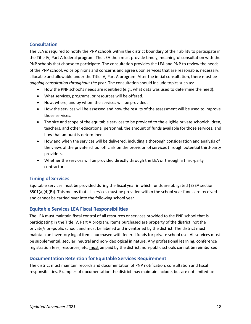#### <span id="page-17-0"></span>**Consultation**

The LEA is required to notify the PNP schools within the district boundary of their ability to participate in the Title IV, Part A federal program. The LEA then must provide timely, meaningful consultation with the PNP schools that choose to participate. The consultation provides the LEA and PNP to review the needs of the PNP school, voice opinions and concerns and agree upon services that are reasonable, necessary, allocable and allowable under the Title IV, Part A program. After the initial consultation, there must be *ongoing consultation throughout the year*. The consultation should include topics such as:

- How the PNP school's needs are identified (e.g., what data was used to determine the need).
- What services, programs, or resources will be offered.
- How, where, and by whom the services will be provided.
- How the services will be assessed and how the results of the assessment will be used to improve those services.
- The size and scope of the equitable services to be provided to the eligible private schoolchildren, teachers, and other educational personnel, the amount of funds available for those services, and how that amount is determined.
- How and when the services will be delivered, including a thorough consideration and analysis of the views of the private school officials on the provision of services through potential third-party providers.
- Whether the services will be provided directly through the LEA or through a third-party contractor.

#### <span id="page-17-1"></span>**Timing of Services**

Equitable services must be provided during the fiscal year in which funds are obligated (ESEA section 8501(a)(4)(B)). This means that all services must be provided within the school year funds are received and cannot be carried over into the following school year.

#### <span id="page-17-2"></span>**Equitable Services LEA Fiscal Responsibilities**

The LEA must maintain fiscal control of all resources or services provided to the PNP school that is participating in the Title IV, Part A program. Items purchased are property of the district, not the private/non-public school, and must be labeled and inventoried by the district. The district must maintain an inventory log of items purchased with federal funds for private school use. All services must be supplemental, secular, neutral and non-ideological in nature. Any professional learning, conference registration fees, resources, etc. must be paid by the district; non-public schools cannot be reimbursed.

#### <span id="page-17-3"></span>**Documentation Retention for Equitable Services Requirement**

The district must maintain records and documentation of PNP notification, consultation and fiscal responsibilities. Examples of documentation the district may maintain include, but are not limited to: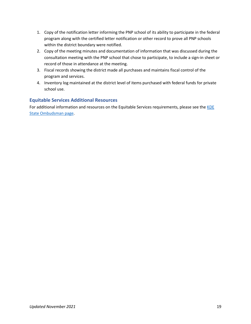- 1. Copy of the notification letter informing the PNP school of its ability to participate in the federal program along with the certified letter notification or other record to prove all PNP schools within the district boundary were notified.
- 2. Copy of the meeting minutes and documentation of information that was discussed during the consultation meeting with the PNP school that chose to participate, to include a sign-in sheet or record of those in attendance at the meeting.
- 3. Fiscal records showing the district made all purchases and maintains fiscal control of the program and services.
- 4. Inventory log maintained at the district level of items purchased with federal funds for private school use.

#### <span id="page-18-0"></span>**Equitable Services Additional Resources**

For additional information and resources on the Equitable Services requirements, please see the KDE [State Ombudsman page.](https://education.ky.gov/federal/progs/Pages/Non-Public-School-Ombudsman.aspx)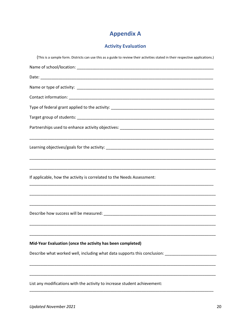## **Appendix A**

#### **Activity Evaluation**

<span id="page-19-1"></span><span id="page-19-0"></span>(This is a sample form. Districts can use this as a guide to review their activities stated in their respective applications.) Date: and the state of the state of the state of the state of the state of the state of the state of the state Contact information: The contract of the contract of the contract of the contract of the contract of the contract of the contract of the contract of the contract of the contract of the contract of the contract of the contr Target group of students: The contract of the contract of the contract of the contract of the contract of the contract of the contract of the contract of the contract of the contract of the contract of the contract of the If applicable, how the activity is correlated to the Needs Assessment: Describe how success will be measured: Description of the state of the state of the state of the state of the state of the state of the state of the state of the state of the state of the state of the state of the state of Mid-Year Evaluation (once the activity has been completed) Describe what worked well, including what data supports this conclusion: \_\_\_\_\_\_\_\_\_\_\_\_\_\_\_\_\_\_\_\_\_\_\_\_\_\_ List any modifications with the activity to increase student achievement: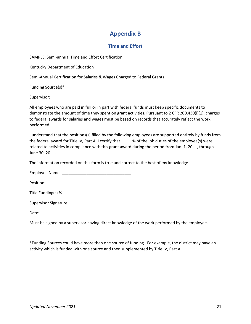## **Appendix B**

#### **Time and Effort**

<span id="page-20-1"></span><span id="page-20-0"></span>SAMPLE: Semi-annual Time and Effort Certification

Kentucky Department of Education

Semi-Annual Certification for Salaries & Wages Charged to Federal Grants

Funding Source(s)\*:

Supervisor:

All employees who are paid in full or in part with federal funds must keep specific documents to demonstrate the amount of time they spent on grant activities. Pursuant to 2 CFR 200.430(i)(1), charges to federal awards for salaries and wages must be based on records that accurately reflect the work performed.

I understand that the positions(s) filled by the following employees are supported entirely by funds from the federal award for Title IV, Part A. I certify that \_\_\_\_\_% of the job duties of the employee(s) were related to activities in compliance with this grant award during the period from Jan. 1, 20\_\_, through June 30, 20\_\_.

The information recorded on this form is true and correct to the best of my knowledge.

Employee Name: \_\_\_\_\_\_\_\_\_\_\_\_\_\_\_\_\_\_\_\_\_\_\_\_\_\_\_\_\_\_\_

Position: \_\_\_\_\_\_\_\_\_\_\_\_\_\_\_\_\_\_\_\_\_\_\_\_\_\_\_\_\_\_\_\_\_\_\_\_\_

Title Funding(s) %

Supervisor Signature: \_\_\_\_\_\_\_\_\_\_\_\_\_\_\_\_\_\_\_\_\_\_\_\_\_\_\_\_\_\_\_\_\_\_

Date: \_\_\_\_\_\_\_\_\_\_\_\_\_\_\_\_\_\_\_

Must be signed by a supervisor having direct knowledge of the work performed by the employee.

\*Funding Sources could have more than one source of funding. For example, the district may have an activity which is funded with one source and then supplemented by Title IV, Part A.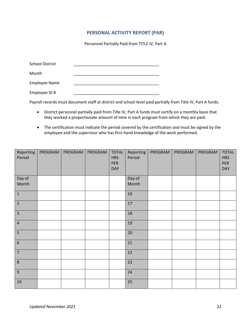#### **PERSONAL ACTIVITY REPORT (PAR)**

Personnel Partially Paid from TITLE IV, Part A

<span id="page-21-0"></span>

| <b>School District</b> |  |  |
|------------------------|--|--|
| Month                  |  |  |
| <b>Employee Name</b>   |  |  |
| Employee ID #          |  |  |

Payroll records must document staff at district and school level paid partially from Title IV, Part A funds.

- District personnel partially paid from Title IV, Part A funds must certify on a monthly basis that they worked a proportionate amount of time in each program from which they are paid.
- The certification must indicate the period covered by the certification and must be signed by the employee and the supervisor who has first-hand knowledge of the work performed.

| Reporting<br>Period | PROGRAM | PROGRAM | PROGRAM | <b>TOTAL</b><br><b>HRS</b><br>PER<br><b>DAY</b> | Reporting<br>Period | PROGRAM | PROGRAM | PROGRAM | <b>TOTAL</b><br><b>HRS</b><br>PER<br><b>DAY</b> |
|---------------------|---------|---------|---------|-------------------------------------------------|---------------------|---------|---------|---------|-------------------------------------------------|
| Day of<br>Month     |         |         |         |                                                 | Day of<br>Month     |         |         |         |                                                 |
| $\mathbf 1$         |         |         |         |                                                 | 16                  |         |         |         |                                                 |
| $\overline{2}$      |         |         |         |                                                 | 17                  |         |         |         |                                                 |
| $\overline{3}$      |         |         |         |                                                 | 18                  |         |         |         |                                                 |
| $\overline{4}$      |         |         |         |                                                 | 19                  |         |         |         |                                                 |
| 5                   |         |         |         |                                                 | 20                  |         |         |         |                                                 |
| $\boldsymbol{6}$    |         |         |         |                                                 | 21                  |         |         |         |                                                 |
| $\overline{7}$      |         |         |         |                                                 | 22                  |         |         |         |                                                 |
| $\,8\,$             |         |         |         |                                                 | 23                  |         |         |         |                                                 |
| $\boldsymbol{9}$    |         |         |         |                                                 | 24                  |         |         |         |                                                 |
| $10\,$              |         |         |         |                                                 | 25                  |         |         |         |                                                 |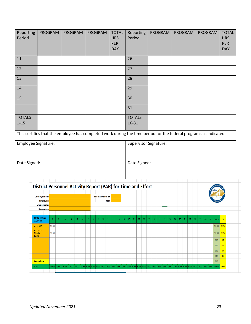| Reporting<br>Period       | PROGRAM                                                                                                           | <b>PROGRAM</b> | <b>PROGRAM</b> | <b>TOTAL</b><br><b>HRS</b><br><b>PER</b><br><b>DAY</b> | Reporting<br>Period    | PROGRAM | PROGRAM | <b>PROGRAM</b> | <b>TOTAL</b><br><b>HRS</b><br><b>PER</b><br><b>DAY</b> |  |
|---------------------------|-------------------------------------------------------------------------------------------------------------------|----------------|----------------|--------------------------------------------------------|------------------------|---------|---------|----------------|--------------------------------------------------------|--|
| 11                        |                                                                                                                   |                |                |                                                        | 26                     |         |         |                |                                                        |  |
| 12                        |                                                                                                                   |                |                |                                                        | 27                     |         |         |                |                                                        |  |
| 13                        |                                                                                                                   |                |                |                                                        | 28                     |         |         |                |                                                        |  |
| $14\,$                    |                                                                                                                   |                |                |                                                        | 29                     |         |         |                |                                                        |  |
| 15                        |                                                                                                                   |                |                |                                                        | 30                     |         |         |                |                                                        |  |
|                           |                                                                                                                   |                |                |                                                        | 31                     |         |         |                |                                                        |  |
| <b>TOTALS</b><br>$1 - 15$ |                                                                                                                   |                |                |                                                        | <b>TOTALS</b><br>16-31 |         |         |                |                                                        |  |
|                           | This certifies that the employee has completed work during the time period for the federal programs as indicated. |                |                |                                                        |                        |         |         |                |                                                        |  |
| Employee Signature:       |                                                                                                                   |                |                | Supervisor Signature:                                  |                        |         |         |                |                                                        |  |
| Date Signed:              |                                                                                                                   |                |                |                                                        | Date Signed:           |         |         |                |                                                        |  |

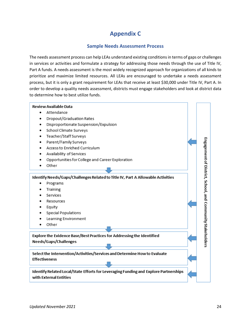## **Appendix C**

#### **Sample Needs Assessment Process**

<span id="page-23-1"></span><span id="page-23-0"></span>The needs assessment process can help LEAs understand existing conditions in terms of gaps or challenges in services or activities and formulate a strategy for addressing those needs through the use of Title IV, Part A funds. A needs assessment is the most widely recognized approach for organizations of all kinds to prioritize and maximize limited resources. All LEAs are encouraged to undertake a needs assessment process, but it is only a grant requirement for LEAs that receive at least \$30,000 under Title IV, Part A. In order to develop a quality needs assessment, districts must engage stakeholders and look at district data to determine how to best utilize funds.

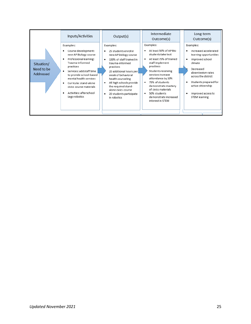|                                       | Inputs/Activities                                                                                                                                                                                                                                                                                          | Output(s)                                                                                                                                                                                                                                                                                                                             | Intermediate<br>Outcome(s)                                                                                                                                                                                                                                                                                                             | Long-term<br>Outcome(s)                                                                                                                                                                                                                                              |
|---------------------------------------|------------------------------------------------------------------------------------------------------------------------------------------------------------------------------------------------------------------------------------------------------------------------------------------------------------|---------------------------------------------------------------------------------------------------------------------------------------------------------------------------------------------------------------------------------------------------------------------------------------------------------------------------------------|----------------------------------------------------------------------------------------------------------------------------------------------------------------------------------------------------------------------------------------------------------------------------------------------------------------------------------------|----------------------------------------------------------------------------------------------------------------------------------------------------------------------------------------------------------------------------------------------------------------------|
| Situation/<br>Need to be<br>Addressed | Examples:<br>Course development:<br>new AP Biology course<br>Professional learning:<br>٠<br>Trauma-informed<br>practices<br>Services: add staff time<br>to provide school-based<br>mental health services<br>Curricula: stand-alone<br>civics course materials<br>Activities: afterschool<br>Lego robotics | Examples:<br>25 students enroll in<br>٠<br>new AP biology course<br>100% of staff trained in<br>٠<br>trauma-informed<br>practices<br>20 additional hours per<br>week of behavioral<br>health counseling<br>All high schools provide<br>٠<br>the required stand-<br>alone civics course<br>20 students participate<br>٠<br>in robotics | Examples:<br>At least 50% of AP Bio<br>٠<br>students take test<br>At least 75% of trained<br>٠<br>staff implement<br>practices<br>Students receiving<br>services increase<br>attendance by 20%<br>75% of students<br>٠<br>demonstrate mastery<br>of civics materials<br>50% students<br>٠<br>demonstrate increased<br>interest in STEM | Examples:<br>Increased accelerated<br>٠<br>learning opportunities<br>Improved school<br>٠<br>climate<br>Decreased<br>absenteeism rates<br>across the district<br>Students prepared for<br>٠<br>active citizenship<br>Improved access to<br>٠<br><b>STEM</b> learning |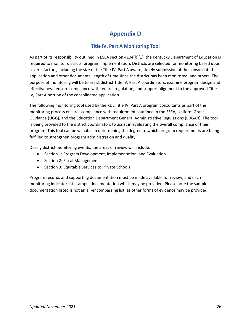## **Appendix D**

#### **Title IV, Part A Monitoring Tool**

<span id="page-25-1"></span><span id="page-25-0"></span>As part of its responsibility outlined in ESEA section 4104(b)(1), the Kentucky Department of Education is required to monitor districts' program implementation. Districts are selected for monitoring based upon several factors, including the size of the Title IV, Part A award, timely submission of the consolidated application and other documents, length of time since the district has been monitored, and others. The purpose of monitoring will be to assist district Title IV, Part A coordinators, examine program design and effectiveness, ensure compliance with federal regulation, and support alignment to the approved Title IV, Part A portion of the consolidated application.

The following monitoring tool used by the KDE Title IV, Part A program consultants as part of the monitoring process ensures compliance with requirements outlined in the ESEA, Uniform Grant Guidance (UGG), and the Education Department General Administrative Regulations (EDGAR). The tool is being provided to the district coordinators to assist in evaluating the overall compliance of their program. This tool can be valuable in determining the degree to which program requirements are being fulfilled to strengthen program administration and quality.

During district monitoring events, the areas of review will include:

- Section 1: Program Development, Implementation, and Evaluation
- Section 2: Fiscal Management
- Section 3: Equitable Services to Private Schools

Program records and supporting documentation must be made available for review, and each monitoring indicator lists sample documentation which may be provided. Please note the sample documentation listed is not an all-encompassing list, as other forms of evidence may be provided.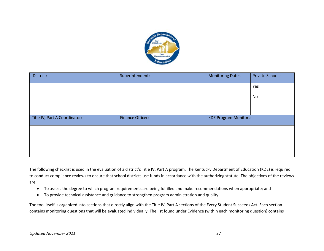

| District:                     | Superintendent:         | <b>Monitoring Dates:</b>     | <b>Private Schools:</b> |
|-------------------------------|-------------------------|------------------------------|-------------------------|
|                               |                         |                              | Yes                     |
|                               |                         |                              | No                      |
|                               |                         |                              |                         |
| Title IV, Part A Coordinator: | <b>Finance Officer:</b> | <b>KDE Program Monitors:</b> |                         |
|                               |                         |                              |                         |
|                               |                         |                              |                         |
|                               |                         |                              |                         |

The following checklist is used in the evaluation of a district's Title IV, Part A program. The Kentucky Department of Education (KDE) is required to conduct compliance reviews to ensure that school districts use funds in accordance with the authorizing statute. The objectives of the reviews are:

- To assess the degree to which program requirements are being fulfilled and make recommendations when appropriate; and
- To provide technical assistance and guidance to strengthen program administration and quality.

The tool itself is organized into sections that directly align with the Title IV, Part A sections of the Every Student Succeeds Act. Each section contains monitoring questions that will be evaluated individually. The list found under Evidence (within each monitoring question) contains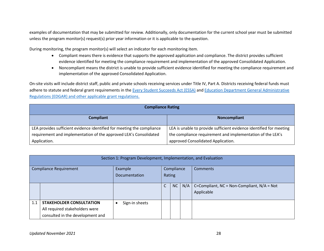examples of documentation that may be submitted for review. Additionally, only documentation for the current school year must be submitted unless the program monitor(s) request(s) prior year information or it is applicable to the question.

During monitoring, the program monitor(s) will select an indicator for each monitoring item.

- Compliant means there is evidence that supports the approved application and compliance. The district provides sufficient evidence identified for meeting the compliance requirement and implementation of the approved Consolidated Application.
- Noncompliant means the district is unable to provide sufficient evidence identified for meeting the compliance requirement and implementation of the approved Consolidated Application.

On-site visits will include district staff, public and private schools receiving services under Title IV, Part A. Districts receiving federal funds must adhere to statute and federal grant requirements in th[e Every Student Succeeds Act \(ESSA\)](https://www.ed.gov/essa?src=rn) an[d Education Department General Administrative](https://www2.ed.gov/policy/fund/reg/edgarReg/edgar.html)  [Regulations \(EDGAR\) and other applicable grant regulations.](https://www2.ed.gov/policy/fund/reg/edgarReg/edgar.html)

| <b>Compliance Rating</b>                                               |                                                                     |  |  |  |  |  |  |
|------------------------------------------------------------------------|---------------------------------------------------------------------|--|--|--|--|--|--|
| <b>Compliant</b>                                                       | Noncompliant                                                        |  |  |  |  |  |  |
| LEA provides sufficient evidence identified for meeting the compliance | LEA is unable to provide sufficient evidence identified for meeting |  |  |  |  |  |  |
| requirement and implementation of the approved LEA's Consolidated      | the compliance requirement and implementation of the LEA's          |  |  |  |  |  |  |
| Application.                                                           | approved Consolidated Application.                                  |  |  |  |  |  |  |

|                               | Section 1: Program Development, Implementation, and Evaluation    |                |            |    |     |                                                               |  |  |
|-------------------------------|-------------------------------------------------------------------|----------------|------------|----|-----|---------------------------------------------------------------|--|--|
| <b>Compliance Requirement</b> |                                                                   | Example        | Compliance |    |     | <b>Comments</b>                                               |  |  |
|                               |                                                                   | Documentation  | Rating     |    |     |                                                               |  |  |
|                               |                                                                   |                | C          | NC | N/A | C=Compliant, $NC = Non-Compliant$ , $N/A = Not$<br>Applicable |  |  |
| 1.1                           | <b>STAKEHOLDER CONSULTATION</b><br>All required stakeholders were | Sign-in sheets |            |    |     |                                                               |  |  |
|                               | consulted in the development and                                  |                |            |    |     |                                                               |  |  |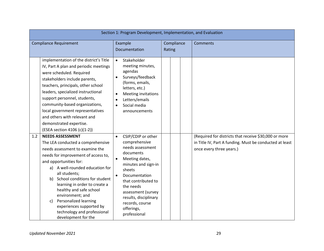|                               | Section 1: Program Development, Implementation, and Evaluation                                                                                                                                                                                                                                                                                                                                                                                               |                                                                                                                                                                                                                                                                                                                     |  |                      |  |                                                                                                                                              |  |  |  |  |
|-------------------------------|--------------------------------------------------------------------------------------------------------------------------------------------------------------------------------------------------------------------------------------------------------------------------------------------------------------------------------------------------------------------------------------------------------------------------------------------------------------|---------------------------------------------------------------------------------------------------------------------------------------------------------------------------------------------------------------------------------------------------------------------------------------------------------------------|--|----------------------|--|----------------------------------------------------------------------------------------------------------------------------------------------|--|--|--|--|
| <b>Compliance Requirement</b> |                                                                                                                                                                                                                                                                                                                                                                                                                                                              | Example                                                                                                                                                                                                                                                                                                             |  | Compliance<br>Rating |  | <b>Comments</b>                                                                                                                              |  |  |  |  |
|                               |                                                                                                                                                                                                                                                                                                                                                                                                                                                              | Documentation                                                                                                                                                                                                                                                                                                       |  |                      |  |                                                                                                                                              |  |  |  |  |
|                               | implementation of the district's Title<br>IV, Part A plan and periodic meetings<br>were scheduled. Required<br>stakeholders include parents,<br>teachers, principals, other school<br>leaders, specialized instructional<br>support personnel, students,<br>community-based organizations,<br>local government representatives<br>and others with relevant and<br>demonstrated expertise.<br>(ESEA section 4106 (c)(1-2))                                    | Stakeholder<br>$\bullet$<br>meeting minutes,<br>agendas<br>Surveys/feedback<br>$\bullet$<br>(forms, emails,<br>letters, etc.)<br>Meeting invitations<br>$\bullet$<br>Letters/emails<br>$\bullet$<br>Social media<br>$\bullet$<br>announcements                                                                      |  |                      |  |                                                                                                                                              |  |  |  |  |
| 1.2                           | <b>NEEDS ASSESSMENT</b><br>The LEA conducted a comprehensive<br>needs assessment to examine the<br>needs for improvement of access to,<br>and opportunities for:<br>a) A well-rounded education for<br>all students;<br>School conditions for student<br>b)<br>learning in order to create a<br>healthy and safe school<br>environment; and<br>Personalized learning<br>C)<br>experiences supported by<br>technology and professional<br>development for the | CSIP/CDIP or other<br>$\bullet$<br>comprehensive<br>needs assessment<br>documents<br>Meeting dates,<br>$\bullet$<br>minutes and sign-in<br>sheets<br>Documentation<br>$\bullet$<br>that contributed to<br>the needs<br>assessment (survey<br>results, disciplinary<br>records, course<br>offerings,<br>professional |  |                      |  | (Required for districts that receive \$30,000 or more<br>in Title IV, Part A funding. Must be conducted at least<br>once every three years.) |  |  |  |  |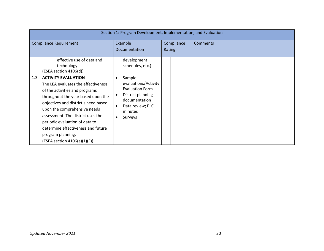|                               | Section 1: Program Development, Implementation, and Evaluation                                                                                                                                                                                                                                                                                                                      |                                                                                                                                                                                 |  |                      |  |                 |  |  |  |
|-------------------------------|-------------------------------------------------------------------------------------------------------------------------------------------------------------------------------------------------------------------------------------------------------------------------------------------------------------------------------------------------------------------------------------|---------------------------------------------------------------------------------------------------------------------------------------------------------------------------------|--|----------------------|--|-----------------|--|--|--|
| <b>Compliance Requirement</b> |                                                                                                                                                                                                                                                                                                                                                                                     | Example<br>Documentation                                                                                                                                                        |  | Compliance<br>Rating |  | <b>Comments</b> |  |  |  |
|                               | effective use of data and<br>technology.<br>(ESEA section 4106(d))                                                                                                                                                                                                                                                                                                                  | development<br>schedules, etc.)                                                                                                                                                 |  |                      |  |                 |  |  |  |
| 1.3                           | <b>ACTIVITY EVALUATION</b><br>The LEA evaluates the effectiveness<br>of the activities and programs<br>throughout the year based upon the<br>objectives and district's need based<br>upon the comprehensive needs<br>assessment. The district uses the<br>periodic evaluation of data to<br>determine effectiveness and future<br>program planning.<br>(ESEA section 4106(e)(1)(E)) | Sample<br>$\bullet$<br>evaluations/Activity<br><b>Evaluation Form</b><br>District planning<br>documentation<br>Data review; PLC<br>$\bullet$<br>minutes<br>Surveys<br>$\bullet$ |  |                      |  |                 |  |  |  |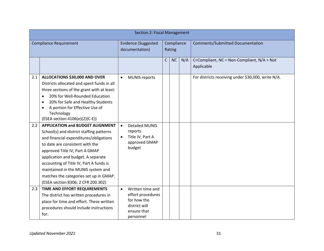|     | <b>Section 2: Fiscal Management</b>          |                                          |                              |              |                                         |     |                                                    |  |
|-----|----------------------------------------------|------------------------------------------|------------------------------|--------------|-----------------------------------------|-----|----------------------------------------------------|--|
|     | <b>Compliance Requirement</b>                | <b>Evidence (Suggested</b><br>Compliance |                              |              | <b>Comments/Submitted Documentation</b> |     |                                                    |  |
|     |                                              |                                          | documentation)               |              | Rating                                  |     |                                                    |  |
|     |                                              |                                          |                              | $\mathsf{C}$ | <b>NC</b>                               | N/A | C=Compliant, NC = Non-Compliant, N/A = Not         |  |
|     |                                              |                                          |                              |              |                                         |     | Applicable                                         |  |
| 2.1 | ALLOCATIONS \$30,000 AND OVER                |                                          | <b>MUNIS reports</b>         |              |                                         |     | For districts receiving under \$30,000, write N/A. |  |
|     | Districts allocated and spent funds in all   |                                          |                              |              |                                         |     |                                                    |  |
|     | three sections of the grant with at least:   |                                          |                              |              |                                         |     |                                                    |  |
|     | 20% for Well-Rounded Education<br>$\bullet$  |                                          |                              |              |                                         |     |                                                    |  |
|     | 20% for Safe and Healthy Students            |                                          |                              |              |                                         |     |                                                    |  |
|     | A portion for Effective Use of               |                                          |                              |              |                                         |     |                                                    |  |
|     | Technology<br>(ESEA section 4106(e)(2)(C-E)) |                                          |                              |              |                                         |     |                                                    |  |
| 2.2 | <b>APPLICATION and BUDGET ALIGNMENT</b>      | $\bullet$                                | <b>Detailed MUNIS</b>        |              |                                         |     |                                                    |  |
|     | School(s) and district staffing patterns     |                                          | reports                      |              |                                         |     |                                                    |  |
|     | and financial expenditures/obligations       |                                          | Title IV, Part A             |              |                                         |     |                                                    |  |
|     | to date are consistent with the              |                                          | approved GMAP                |              |                                         |     |                                                    |  |
|     | approved Title IV, Part A GMAP               |                                          | budget                       |              |                                         |     |                                                    |  |
|     | application and budget. A separate           |                                          |                              |              |                                         |     |                                                    |  |
|     | accounting of Title IV, Part A funds is      |                                          |                              |              |                                         |     |                                                    |  |
|     | maintained in the MUNIS system and           |                                          |                              |              |                                         |     |                                                    |  |
|     | matches the categories set up in GMAP.       |                                          |                              |              |                                         |     |                                                    |  |
|     | (ESEA section 8306; 2 CFR 200.302)           |                                          |                              |              |                                         |     |                                                    |  |
| 2.3 | TIME AND EFFORT REQUIREMENTS                 | $\bullet$                                | Written time and             |              |                                         |     |                                                    |  |
|     | The district has written procedures in       |                                          | effort procedures            |              |                                         |     |                                                    |  |
|     | place for time and effort. These written     |                                          | for how the<br>district will |              |                                         |     |                                                    |  |
|     | procedures should include instructions       |                                          | ensure that                  |              |                                         |     |                                                    |  |
|     | for:                                         |                                          | personnel                    |              |                                         |     |                                                    |  |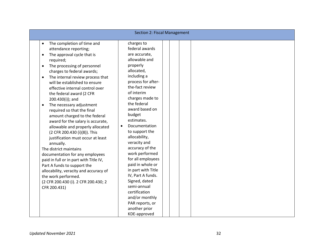|                                                                                                                                                                                                                                                                                                                                                                                                                                                                                                                                                                                                                                                                                                                                                                                                                                                                    | <b>Section 2: Fiscal Management</b>                                                                                                                                                                                                                                                                                                                                                                                                                                                                                                                                         |
|--------------------------------------------------------------------------------------------------------------------------------------------------------------------------------------------------------------------------------------------------------------------------------------------------------------------------------------------------------------------------------------------------------------------------------------------------------------------------------------------------------------------------------------------------------------------------------------------------------------------------------------------------------------------------------------------------------------------------------------------------------------------------------------------------------------------------------------------------------------------|-----------------------------------------------------------------------------------------------------------------------------------------------------------------------------------------------------------------------------------------------------------------------------------------------------------------------------------------------------------------------------------------------------------------------------------------------------------------------------------------------------------------------------------------------------------------------------|
| The completion of time and<br>attendance reporting;<br>The approval cycle that is<br>$\bullet$<br>required;<br>The processing of personnel<br>$\bullet$<br>charges to federal awards;<br>The internal review process that<br>will be established to ensure<br>effective internal control over<br>the federal award (2 CFR<br>200.430(i)); and<br>The necessary adjustment<br>required so that the final<br>amount charged to the federal<br>award for the salary is accurate,<br>allowable and properly allocated<br>(2 CFR 200.430 (i)(8)). This<br>justification must occur at least<br>annually.<br>The district maintains<br>documentation for any employees<br>paid in full or in part with Title IV,<br>Part A funds to support the<br>allocability, veracity and accuracy of<br>the work performed.<br>(2 CFR 200.430 (i). 2 CFR 200.430; 2<br>CFR 200.431) | charges to<br>federal awards<br>are accurate,<br>allowable and<br>properly<br>allocated,<br>including a<br>process for after-<br>the-fact review<br>of interim<br>charges made to<br>the federal<br>award based on<br>budget<br>estimates.<br>Documentation<br>$\bullet$<br>to support the<br>allocability,<br>veracity and<br>accuracy of the<br>work performed<br>for all employees<br>paid in whole or<br>in part with Title<br>IV, Part A funds.<br>Signed, dated<br>semi-annual<br>certification<br>and/or monthly<br>PAR reports, or<br>another prior<br>KDE-approved |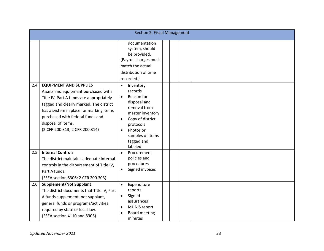|     | Section 2: Fiscal Management                                                                                                                                                                                                                                                                       |                                                                                                                                                                                                             |  |  |  |  |  |  |  |
|-----|----------------------------------------------------------------------------------------------------------------------------------------------------------------------------------------------------------------------------------------------------------------------------------------------------|-------------------------------------------------------------------------------------------------------------------------------------------------------------------------------------------------------------|--|--|--|--|--|--|--|
|     |                                                                                                                                                                                                                                                                                                    | documentation<br>system, should<br>be provided.<br>(Payroll charges must<br>match the actual<br>distribution of time<br>recorded.)                                                                          |  |  |  |  |  |  |  |
| 2.4 | <b>EQUIPMENT AND SUPPLIES</b><br>Assets and equipment purchased with<br>Title IV, Part A funds are appropriately<br>tagged and clearly marked. The district<br>has a system in place for marking items<br>purchased with federal funds and<br>disposal of items.<br>(2 CFR 200.313; 2 CFR 200.314) | Inventory<br>$\bullet$<br>records<br>Reason for<br>$\bullet$<br>disposal and<br>removal from<br>master inventory<br>Copy of district<br>protocols<br>Photos or<br>samples of items<br>tagged and<br>labeled |  |  |  |  |  |  |  |
| 2.5 | <b>Internal Controls</b><br>The district maintains adequate internal<br>controls in the disbursement of Title IV,<br>Part A funds.<br>(ESEA section 8306; 2 CFR 200.303)                                                                                                                           | Procurement<br>$\bullet$<br>policies and<br>procedures<br>Signed invoices<br>$\bullet$                                                                                                                      |  |  |  |  |  |  |  |
| 2.6 | <b>Supplement/Not Supplant</b><br>The district documents that Title IV, Part<br>A funds supplement, not supplant,<br>general funds or programs/activities<br>required by state or local law.<br>(ESEA section 4110 and 8306)                                                                       | Expenditure<br>$\bullet$<br>reports<br>Signed<br>assurances<br><b>MUNIS report</b><br>$\bullet$<br><b>Board meeting</b><br>minutes                                                                          |  |  |  |  |  |  |  |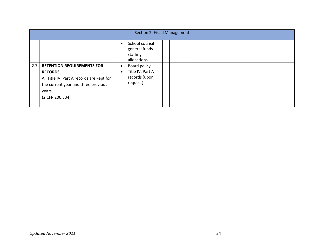|     | Section 2: Fiscal Management                                                                                                                                         |           |                                                               |  |  |  |  |  |  |
|-----|----------------------------------------------------------------------------------------------------------------------------------------------------------------------|-----------|---------------------------------------------------------------|--|--|--|--|--|--|
|     |                                                                                                                                                                      |           | School council<br>general funds<br>staffing<br>allocations    |  |  |  |  |  |  |
| 2.7 | <b>RETENTION REQUIREMENTS FOR</b><br><b>RECORDS</b><br>All Title IV, Part A records are kept for<br>the current year and three previous<br>years.<br>(2 CFR 200.334) | $\bullet$ | Board policy<br>Title IV, Part A<br>records (upon<br>request) |  |  |  |  |  |  |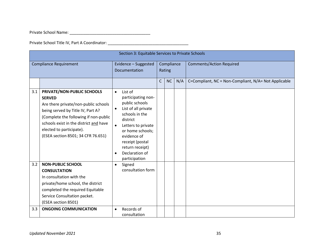Private School Name: \_\_\_\_\_\_\_\_\_\_\_\_\_\_\_\_\_\_\_\_\_\_\_\_\_\_\_\_\_\_\_\_\_\_\_\_

Private School Title IV, Part A Coordinator: \_\_\_\_\_\_\_\_\_\_\_\_\_\_\_\_\_\_\_\_\_\_\_\_\_\_\_\_\_\_\_\_\_\_\_

|            | Section 3: Equitable Services to Private Schools                                                                                                                                                                                                                              |                                                                                                                                                                                                                                                                                            |                      |    |     |                                                      |  |  |  |
|------------|-------------------------------------------------------------------------------------------------------------------------------------------------------------------------------------------------------------------------------------------------------------------------------|--------------------------------------------------------------------------------------------------------------------------------------------------------------------------------------------------------------------------------------------------------------------------------------------|----------------------|----|-----|------------------------------------------------------|--|--|--|
|            | <b>Compliance Requirement</b>                                                                                                                                                                                                                                                 | Evidence - Suggested<br><b>Documentation</b>                                                                                                                                                                                                                                               | Compliance<br>Rating |    |     | <b>Comments/Action Required</b>                      |  |  |  |
|            |                                                                                                                                                                                                                                                                               |                                                                                                                                                                                                                                                                                            | C                    | NC | N/A | C=Compliant, NC = Non-Compliant, N/A= Not Applicable |  |  |  |
| 3.1        | PRIVATE/NON-PUBLIC SCHOOLS<br><b>SERVED</b><br>Are there private/non-public schools<br>being served by Title IV, Part A?<br>(Complete the following if non-public<br>schools exist in the district and have<br>elected to participate).<br>(ESEA section 8501; 34 CFR 76.651) | List of<br>$\bullet$<br>participating non-<br>public schools<br>List of all private<br>$\bullet$<br>schools in the<br>district<br>Letters to private<br>$\bullet$<br>or home schools;<br>evidence of<br>receipt (postal<br>return receipt)<br>Declaration of<br>$\bullet$<br>participation |                      |    |     |                                                      |  |  |  |
| 3.2<br>3.3 | <b>NON-PUBLIC SCHOOL</b><br><b>CONSULTATION</b><br>In consultation with the<br>private/home school, the district<br>completed the required Equitable<br>Service Consultation packet.<br>(ESEA section 8501)<br><b>ONGOING COMMUNICATION</b>                                   | Signed<br>$\bullet$<br>consultation form<br>Records of<br>$\bullet$                                                                                                                                                                                                                        |                      |    |     |                                                      |  |  |  |
|            |                                                                                                                                                                                                                                                                               | consultation                                                                                                                                                                                                                                                                               |                      |    |     |                                                      |  |  |  |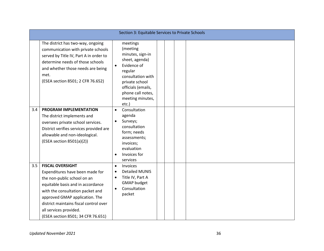|     | Section 3: Equitable Services to Private Schools                                                                                                                                                                                                                                                               |                                                  |                                                                                                                                                                                                     |  |  |  |  |  |  |
|-----|----------------------------------------------------------------------------------------------------------------------------------------------------------------------------------------------------------------------------------------------------------------------------------------------------------------|--------------------------------------------------|-----------------------------------------------------------------------------------------------------------------------------------------------------------------------------------------------------|--|--|--|--|--|--|
|     | The district has two-way, ongoing<br>communication with private schools<br>served by Title IV, Part A in order to<br>determine needs of those schools<br>and whether those needs are being<br>met.<br>(ESEA section 8501; 2 CFR 76.652)                                                                        | $\bullet$                                        | meetings<br>(meeting<br>minutes, sign-in<br>sheet, agenda)<br>Evidence of<br>regular<br>consultation with<br>private school<br>officials (emails,<br>phone call notes,<br>meeting minutes,<br>etc.) |  |  |  |  |  |  |
| 3.4 | <b>PROGRAM IMPLEMENTATION</b><br>The district implements and<br>oversees private school services.<br>District verifies services provided are<br>allowable and non-ideological.<br>(ESEA section 8501(a)(2))                                                                                                    | $\bullet$<br>$\bullet$<br>$\bullet$              | Consultation<br>agenda<br>Surveys;<br>consultation<br>form; needs<br>assessments;<br>invoices;<br>evaluation<br>Invoices for<br>services                                                            |  |  |  |  |  |  |
| 3.5 | <b>FISCAL OVERSIGHT</b><br>Expenditures have been made for<br>the non-public school on an<br>equitable basis and in accordance<br>with the consultation packet and<br>approved GMAP application. The<br>district maintains fiscal control over<br>all services provided.<br>(ESEA section 8501; 34 CFR 76.651) | $\bullet$<br>$\bullet$<br>$\bullet$<br>$\bullet$ | Invoices<br><b>Detailed MUNIS</b><br>Title IV, Part A<br><b>GMAP budget</b><br>Consultation<br>packet                                                                                               |  |  |  |  |  |  |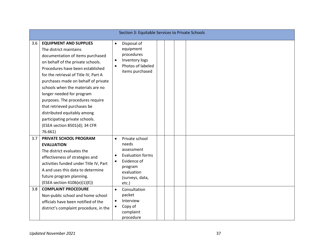|            | Section 3: Equitable Services to Private Schools                                                                                                                                                                                                                                                                                                                                                                                                                                                       |                                                               |                                                                                                                                                                                                                  |  |  |  |  |  |  |
|------------|--------------------------------------------------------------------------------------------------------------------------------------------------------------------------------------------------------------------------------------------------------------------------------------------------------------------------------------------------------------------------------------------------------------------------------------------------------------------------------------------------------|---------------------------------------------------------------|------------------------------------------------------------------------------------------------------------------------------------------------------------------------------------------------------------------|--|--|--|--|--|--|
| 3.6        | <b>EQUIPMENT AND SUPPLIES</b><br>The district maintains<br>documentation of items purchased<br>on behalf of the private schools.<br>Procedures have been established<br>for the retrieval of Title IV, Part A<br>purchases made on behalf of private<br>schools when the materials are no<br>longer needed for program<br>purposes. The procedures require<br>that retrieved purchases be<br>distributed equitably among<br>participating private schools.<br>(ESEA section 8501(d); 34 CFR<br>76.661) | $\bullet$<br>$\bullet$<br>$\bullet$                           | Disposal of<br>equipment<br>procedures<br>Inventory logs<br>Photos of labeled<br>items purchased                                                                                                                 |  |  |  |  |  |  |
| 3.7<br>3.8 | PRIVATE SCHOOL PROGRAM<br><b>EVALUATION</b><br>The district evaluates the<br>effectiveness of strategies and<br>activities funded under Title IV, Part<br>A and uses this data to determine<br>future program planning.<br>(ESEA section 4106(e)(1)(E))<br><b>COMPLAINT PROCEDURE</b><br>Non-public school and home school<br>officials have been notified of the<br>district's complaint procedure, in the                                                                                            | $\bullet$<br>$\bullet$<br>$\bullet$<br>$\bullet$<br>$\bullet$ | Private school<br>needs<br>assessment<br><b>Evaluation forms</b><br>Evidence of<br>program<br>evaluation<br>(surveys, data,<br>etc.)<br>Consultation<br>packet<br>Interview<br>Copy of<br>complaint<br>procedure |  |  |  |  |  |  |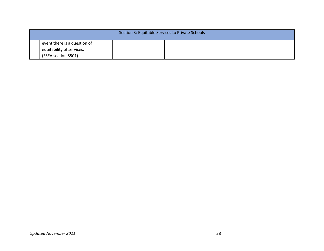| Section 3: Equitable Services to Private Schools                                 |  |  |  |  |  |  |  |  |
|----------------------------------------------------------------------------------|--|--|--|--|--|--|--|--|
| event there is a question of<br>equitability of services.<br>(ESEA section 8501) |  |  |  |  |  |  |  |  |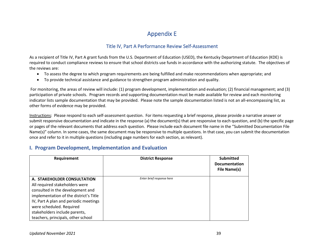## Appendix E

#### Title IV, Part A Performance Review Self-Assessment

As a recipient of Title IV, Part A grant funds from the U.S. Department of Education (USED), the Kentucky Department of Education (KDE) is required to conduct compliance reviews to ensure that school districts use funds in accordance with the authorizing statute. The objectives of the reviews are:

- To assess the degree to which program requirements are being fulfilled and make recommendations when appropriate; and
- To provide technical assistance and guidance to strengthen program administration and quality.

For monitoring, the areas of review will include: (1) program development, implementation and evaluation; (2) financial management; and (3) participation of private schools. Program records and supporting documentation must be made available for review and each monitoring indicator lists sample documentation that may be provided. Please note the sample documentation listed is not an all-encompassing list, as other forms of evidence may be provided.

<span id="page-38-1"></span><span id="page-38-0"></span>Instructions: Please respond to each self-assessment question. For items requesting a brief response, please provide a narrative answer or submit responsive documentation and indicate in the response (a) the document(s) that are responsive to each question, and (b) the specific page or pages of the relevant documents that address each question. Please include each document file name in the "Submitted Documentation File Name(s)" column. In some cases, the same document may be responsive to multiple questions. In that case, you can submit the documentation once and refer to it in multiple questions (including page numbers for each section, as relevant).

#### **I. Program Development, Implementation and Evaluation**

| Requirement                                                                                                                                                                                                                                       | <b>District Response</b>  | <b>Submitted</b><br><b>Documentation</b><br>File Name(s) |
|---------------------------------------------------------------------------------------------------------------------------------------------------------------------------------------------------------------------------------------------------|---------------------------|----------------------------------------------------------|
| A. STAKEHOLDER CONSULTATION<br>All required stakeholders were<br>consulted in the development and<br>implementation of the district's Title<br>IV, Part A plan and periodic meetings<br>were scheduled. Required<br>stakeholders include parents, | Enter brief response here |                                                          |
| teachers, principals, other school                                                                                                                                                                                                                |                           |                                                          |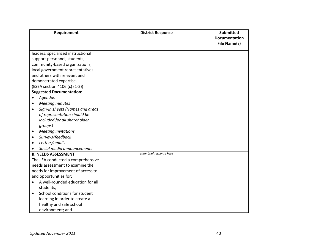| Requirement                                                                                                                                                                                                                                                                                                                                                                                                                                                                                                                                                               | <b>District Response</b>  | <b>Submitted</b>     |
|---------------------------------------------------------------------------------------------------------------------------------------------------------------------------------------------------------------------------------------------------------------------------------------------------------------------------------------------------------------------------------------------------------------------------------------------------------------------------------------------------------------------------------------------------------------------------|---------------------------|----------------------|
|                                                                                                                                                                                                                                                                                                                                                                                                                                                                                                                                                                           |                           | <b>Documentation</b> |
|                                                                                                                                                                                                                                                                                                                                                                                                                                                                                                                                                                           |                           | File Name(s)         |
|                                                                                                                                                                                                                                                                                                                                                                                                                                                                                                                                                                           |                           |                      |
| leaders, specialized instructional                                                                                                                                                                                                                                                                                                                                                                                                                                                                                                                                        |                           |                      |
| support personnel, students,                                                                                                                                                                                                                                                                                                                                                                                                                                                                                                                                              |                           |                      |
| community-based organizations,                                                                                                                                                                                                                                                                                                                                                                                                                                                                                                                                            |                           |                      |
| local government representatives<br>and others with relevant and                                                                                                                                                                                                                                                                                                                                                                                                                                                                                                          |                           |                      |
|                                                                                                                                                                                                                                                                                                                                                                                                                                                                                                                                                                           |                           |                      |
| demonstrated expertise.                                                                                                                                                                                                                                                                                                                                                                                                                                                                                                                                                   |                           |                      |
| (ESEA section 4106 (c) (1-2))<br><b>Suggested Documentation:</b>                                                                                                                                                                                                                                                                                                                                                                                                                                                                                                          |                           |                      |
|                                                                                                                                                                                                                                                                                                                                                                                                                                                                                                                                                                           |                           |                      |
| Agendas                                                                                                                                                                                                                                                                                                                                                                                                                                                                                                                                                                   |                           |                      |
| <b>Meeting minutes</b><br>$\bullet$                                                                                                                                                                                                                                                                                                                                                                                                                                                                                                                                       |                           |                      |
| Sign-in sheets (Names and areas<br>$\bullet$                                                                                                                                                                                                                                                                                                                                                                                                                                                                                                                              |                           |                      |
|                                                                                                                                                                                                                                                                                                                                                                                                                                                                                                                                                                           |                           |                      |
|                                                                                                                                                                                                                                                                                                                                                                                                                                                                                                                                                                           |                           |                      |
|                                                                                                                                                                                                                                                                                                                                                                                                                                                                                                                                                                           |                           |                      |
|                                                                                                                                                                                                                                                                                                                                                                                                                                                                                                                                                                           |                           |                      |
|                                                                                                                                                                                                                                                                                                                                                                                                                                                                                                                                                                           |                           |                      |
|                                                                                                                                                                                                                                                                                                                                                                                                                                                                                                                                                                           |                           |                      |
|                                                                                                                                                                                                                                                                                                                                                                                                                                                                                                                                                                           |                           |                      |
|                                                                                                                                                                                                                                                                                                                                                                                                                                                                                                                                                                           |                           |                      |
|                                                                                                                                                                                                                                                                                                                                                                                                                                                                                                                                                                           |                           |                      |
|                                                                                                                                                                                                                                                                                                                                                                                                                                                                                                                                                                           |                           |                      |
|                                                                                                                                                                                                                                                                                                                                                                                                                                                                                                                                                                           |                           |                      |
|                                                                                                                                                                                                                                                                                                                                                                                                                                                                                                                                                                           |                           |                      |
|                                                                                                                                                                                                                                                                                                                                                                                                                                                                                                                                                                           |                           |                      |
|                                                                                                                                                                                                                                                                                                                                                                                                                                                                                                                                                                           |                           |                      |
|                                                                                                                                                                                                                                                                                                                                                                                                                                                                                                                                                                           |                           |                      |
|                                                                                                                                                                                                                                                                                                                                                                                                                                                                                                                                                                           |                           |                      |
|                                                                                                                                                                                                                                                                                                                                                                                                                                                                                                                                                                           |                           |                      |
| of representation should be<br>included for all shareholder<br>groups)<br><b>Meeting invitations</b><br>$\bullet$<br>Surveys/feedback<br>٠<br>Letters/emails<br>$\bullet$<br>Social media announcements<br><b>B. NEEDS ASSESSMENT</b><br>The LEA conducted a comprehensive<br>needs assessment to examine the<br>needs for improvement of access to<br>and opportunities for:<br>A well-rounded education for all<br>$\bullet$<br>students;<br>School conditions for student<br>$\bullet$<br>learning in order to create a<br>healthy and safe school<br>environment; and | enter brief response here |                      |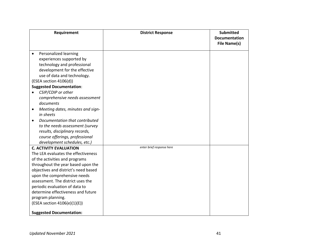| Requirement                                                   | <b>District Response</b>  | <b>Submitted</b><br><b>Documentation</b> |
|---------------------------------------------------------------|---------------------------|------------------------------------------|
|                                                               |                           | <b>File Name(s)</b>                      |
| Personalized learning<br>$\bullet$                            |                           |                                          |
| experiences supported by                                      |                           |                                          |
| technology and professional                                   |                           |                                          |
| development for the effective                                 |                           |                                          |
| use of data and technology.                                   |                           |                                          |
| (ESEA section 4106(d))                                        |                           |                                          |
| <b>Suggested Documentation:</b>                               |                           |                                          |
| CSIP/CDIP or other                                            |                           |                                          |
| comprehensive needs assessment                                |                           |                                          |
| documents                                                     |                           |                                          |
| Meeting dates, minutes and sign-<br>$\bullet$                 |                           |                                          |
| in sheets                                                     |                           |                                          |
| Documentation that contributed<br>$\bullet$                   |                           |                                          |
| to the needs assessment (survey                               |                           |                                          |
| results, disciplinary records,                                |                           |                                          |
| course offerings, professional                                |                           |                                          |
| development schedules, etc.)<br><b>C. ACTIVITY EVALUATION</b> | enter brief response here |                                          |
| The LEA evaluates the effectiveness                           |                           |                                          |
| of the activities and programs                                |                           |                                          |
| throughout the year based upon the                            |                           |                                          |
| objectives and district's need based                          |                           |                                          |
| upon the comprehensive needs                                  |                           |                                          |
| assessment. The district uses the                             |                           |                                          |
| periodic evaluation of data to                                |                           |                                          |
| determine effectiveness and future                            |                           |                                          |
| program planning.                                             |                           |                                          |
| (ESEA section 4106(e)(1)(E))                                  |                           |                                          |
|                                                               |                           |                                          |
| <b>Suggested Documentation:</b>                               |                           |                                          |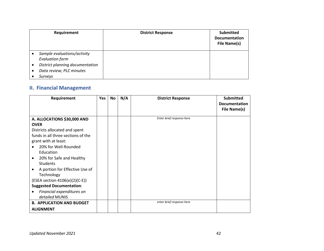|   | Requirement                     | <b>District Response</b> | <b>Submitted</b><br><b>Documentation</b><br><b>File Name(s)</b> |
|---|---------------------------------|--------------------------|-----------------------------------------------------------------|
|   | Sample evaluations/activity     |                          |                                                                 |
|   | <b>Evaluation form</b>          |                          |                                                                 |
|   | District planning documentation |                          |                                                                 |
| ٠ | Data review; PLC minutes        |                          |                                                                 |
|   | Surveys                         |                          |                                                                 |

## **II. Financial Management**

| Requirement                           | <b>Yes</b> | No | N/A | <b>District Response</b>  | <b>Submitted</b>     |
|---------------------------------------|------------|----|-----|---------------------------|----------------------|
|                                       |            |    |     |                           | <b>Documentation</b> |
|                                       |            |    |     |                           | File Name(s)         |
| A. ALLOCATIONS \$30,000 AND           |            |    |     | Enter brief response here |                      |
| <b>OVER</b>                           |            |    |     |                           |                      |
| Districts allocated and spent         |            |    |     |                           |                      |
| funds in all three sections of the    |            |    |     |                           |                      |
| grant with at least:                  |            |    |     |                           |                      |
| 20% for Well-Rounded                  |            |    |     |                           |                      |
| Education                             |            |    |     |                           |                      |
| 20% for Safe and Healthy<br>$\bullet$ |            |    |     |                           |                      |
| <b>Students</b>                       |            |    |     |                           |                      |
| A portion for Effective Use of        |            |    |     |                           |                      |
| Technology                            |            |    |     |                           |                      |
| (ESEA section 4106(e)(2)(C-E))        |            |    |     |                           |                      |
| <b>Suggested Documentation:</b>       |            |    |     |                           |                      |
| Financial expenditures on             |            |    |     |                           |                      |
| detailed MUNIS                        |            |    |     |                           |                      |
| <b>B. APPLICATION AND BUDGET</b>      |            |    |     | enter brief response here |                      |
| <b>ALIGNMENT</b>                      |            |    |     |                           |                      |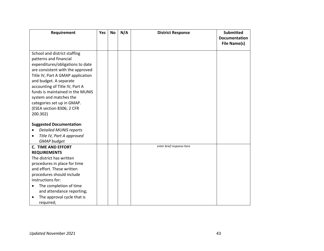| Requirement                             | Yes | <b>No</b> | N/A | <b>District Response</b>  | <b>Submitted</b>     |
|-----------------------------------------|-----|-----------|-----|---------------------------|----------------------|
|                                         |     |           |     |                           | <b>Documentation</b> |
|                                         |     |           |     |                           | File Name(s)         |
| School and district staffing            |     |           |     |                           |                      |
| patterns and financial                  |     |           |     |                           |                      |
| expenditures/obligations to date        |     |           |     |                           |                      |
| are consistent with the approved        |     |           |     |                           |                      |
| Title IV, Part A GMAP application       |     |           |     |                           |                      |
| and budget. A separate                  |     |           |     |                           |                      |
| accounting of Title IV, Part A          |     |           |     |                           |                      |
| funds is maintained in the MUNIS        |     |           |     |                           |                      |
| system and matches the                  |     |           |     |                           |                      |
| categories set up in GMAP.              |     |           |     |                           |                      |
| (ESEA section 8306; 2 CFR               |     |           |     |                           |                      |
| 200.302)                                |     |           |     |                           |                      |
| <b>Suggested Documentation:</b>         |     |           |     |                           |                      |
| <b>Detailed MUNIS reports</b>           |     |           |     |                           |                      |
| Title IV, Part A approved<br>$\bullet$  |     |           |     |                           |                      |
| <b>GMAP</b> budget                      |     |           |     |                           |                      |
| <b>C. TIME AND EFFORT</b>               |     |           |     | enter brief response here |                      |
| <b>REQUIREMENTS</b>                     |     |           |     |                           |                      |
| The district has written                |     |           |     |                           |                      |
| procedures in place for time            |     |           |     |                           |                      |
| and effort. These written               |     |           |     |                           |                      |
| procedures should include               |     |           |     |                           |                      |
| instructions for:                       |     |           |     |                           |                      |
| The completion of time<br>$\bullet$     |     |           |     |                           |                      |
| and attendance reporting;               |     |           |     |                           |                      |
| The approval cycle that is<br>$\bullet$ |     |           |     |                           |                      |
| required;                               |     |           |     |                           |                      |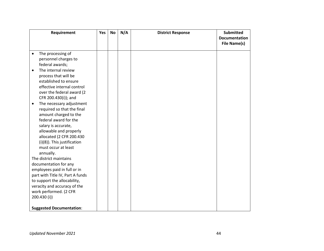| Requirement                                        | Yes | No | N/A | <b>District Response</b> | <b>Submitted</b>     |
|----------------------------------------------------|-----|----|-----|--------------------------|----------------------|
|                                                    |     |    |     |                          | <b>Documentation</b> |
|                                                    |     |    |     |                          | <b>File Name(s)</b>  |
| The processing of<br>$\bullet$                     |     |    |     |                          |                      |
| personnel charges to                               |     |    |     |                          |                      |
| federal awards;                                    |     |    |     |                          |                      |
| The internal review<br>$\bullet$                   |     |    |     |                          |                      |
| process that will be                               |     |    |     |                          |                      |
| established to ensure                              |     |    |     |                          |                      |
| effective internal control                         |     |    |     |                          |                      |
| over the federal award (2                          |     |    |     |                          |                      |
| CFR 200.430(i)); and                               |     |    |     |                          |                      |
| The necessary adjustment<br>$\bullet$              |     |    |     |                          |                      |
| required so that the final                         |     |    |     |                          |                      |
| amount charged to the                              |     |    |     |                          |                      |
| federal award for the                              |     |    |     |                          |                      |
|                                                    |     |    |     |                          |                      |
| salary is accurate,                                |     |    |     |                          |                      |
| allowable and properly<br>allocated (2 CFR 200.430 |     |    |     |                          |                      |
| (i)(8)). This justification                        |     |    |     |                          |                      |
| must occur at least                                |     |    |     |                          |                      |
| annually.                                          |     |    |     |                          |                      |
| The district maintains                             |     |    |     |                          |                      |
| documentation for any                              |     |    |     |                          |                      |
| employees paid in full or in                       |     |    |     |                          |                      |
| part with Title IV, Part A funds                   |     |    |     |                          |                      |
| to support the allocability,                       |     |    |     |                          |                      |
| veracity and accuracy of the                       |     |    |     |                          |                      |
| work performed. (2 CFR                             |     |    |     |                          |                      |
| 200.430(i))                                        |     |    |     |                          |                      |
|                                                    |     |    |     |                          |                      |
| <b>Suggested Documentation:</b>                    |     |    |     |                          |                      |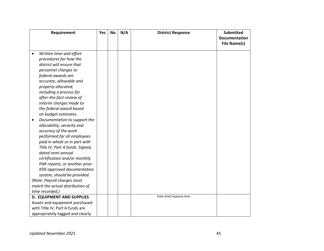|           | Requirement                      | Yes | <b>No</b> | N/A | <b>District Response</b>  | <b>Submitted</b>     |
|-----------|----------------------------------|-----|-----------|-----|---------------------------|----------------------|
|           |                                  |     |           |     |                           | <b>Documentation</b> |
|           |                                  |     |           |     |                           | <b>File Name(s)</b>  |
|           |                                  |     |           |     |                           |                      |
| $\bullet$ | Written time and effort          |     |           |     |                           |                      |
|           | procedures for how the           |     |           |     |                           |                      |
|           | district will ensure that        |     |           |     |                           |                      |
|           | personnel charges to             |     |           |     |                           |                      |
|           | federal awards are               |     |           |     |                           |                      |
|           | accurate, allowable and          |     |           |     |                           |                      |
|           | properly allocated,              |     |           |     |                           |                      |
|           | including a process for          |     |           |     |                           |                      |
|           | after-the-fact review of         |     |           |     |                           |                      |
|           | interim charges made to          |     |           |     |                           |                      |
|           | the federal award based          |     |           |     |                           |                      |
|           | on budget estimates.             |     |           |     |                           |                      |
| $\bullet$ | Documentation to support the     |     |           |     |                           |                      |
|           | allocability, veracity and       |     |           |     |                           |                      |
|           | accuracy of the work             |     |           |     |                           |                      |
|           | performed for all employees      |     |           |     |                           |                      |
|           | paid in whole or in part with    |     |           |     |                           |                      |
|           | Title IV, Part A funds. Signed,  |     |           |     |                           |                      |
|           | dated semi-annual                |     |           |     |                           |                      |
|           | certification and/or monthly     |     |           |     |                           |                      |
|           | PAR reports, or another prior    |     |           |     |                           |                      |
|           | KDE-approved documentation       |     |           |     |                           |                      |
|           | system, should be provided.      |     |           |     |                           |                      |
|           | (Note: Payroll charges must      |     |           |     |                           |                      |
|           | match the actual distribution of |     |           |     |                           |                      |
|           | time recorded.)                  |     |           |     |                           |                      |
|           | <b>D. EQUIPMENT AND SUPPLIES</b> |     |           |     | Enter brief response here |                      |
|           | Assets and equipment purchased   |     |           |     |                           |                      |
|           | with Title IV, Part A funds are  |     |           |     |                           |                      |
|           | appropriately tagged and clearly |     |           |     |                           |                      |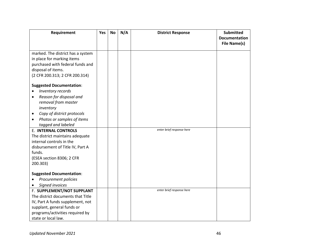| Requirement                             | Yes | <b>No</b> | N/A | <b>District Response</b>  | <b>Submitted</b>     |
|-----------------------------------------|-----|-----------|-----|---------------------------|----------------------|
|                                         |     |           |     |                           | <b>Documentation</b> |
|                                         |     |           |     |                           | <b>File Name(s)</b>  |
| marked. The district has a system       |     |           |     |                           |                      |
| in place for marking items              |     |           |     |                           |                      |
| purchased with federal funds and        |     |           |     |                           |                      |
| disposal of items.                      |     |           |     |                           |                      |
| (2 CFR 200.313; 2 CFR 200.314)          |     |           |     |                           |                      |
|                                         |     |           |     |                           |                      |
| <b>Suggested Documentation:</b>         |     |           |     |                           |                      |
| Inventory records                       |     |           |     |                           |                      |
| Reason for disposal and<br>$\bullet$    |     |           |     |                           |                      |
| removal from master                     |     |           |     |                           |                      |
| inventory                               |     |           |     |                           |                      |
| Copy of district protocols<br>٠         |     |           |     |                           |                      |
| Photos or samples of items<br>$\bullet$ |     |           |     |                           |                      |
| tagged and labeled                      |     |           |     |                           |                      |
| <b>E. INTERNAL CONTROLS</b>             |     |           |     | enter brief response here |                      |
| The district maintains adequate         |     |           |     |                           |                      |
| internal controls in the                |     |           |     |                           |                      |
| disbursement of Title IV, Part A        |     |           |     |                           |                      |
| funds.                                  |     |           |     |                           |                      |
| (ESEA section 8306; 2 CFR               |     |           |     |                           |                      |
| 200.303)                                |     |           |     |                           |                      |
|                                         |     |           |     |                           |                      |
| <b>Suggested Documentation:</b>         |     |           |     |                           |                      |
| Procurement policies                    |     |           |     |                           |                      |
| Signed invoices<br>$\bullet$            |     |           |     | enter brief response here |                      |
| F. SUPPLEMENT/NOT SUPPLANT              |     |           |     |                           |                      |
| The district documents that Title       |     |           |     |                           |                      |
| IV, Part A funds supplement, not        |     |           |     |                           |                      |
| supplant, general funds or              |     |           |     |                           |                      |
| programs/activities required by         |     |           |     |                           |                      |
| state or local law.                     |     |           |     |                           |                      |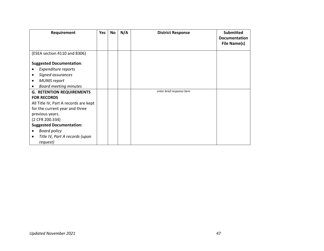| Requirement                           | <b>Yes</b> | No | N/A | <b>District Response</b>  | <b>Submitted</b>     |
|---------------------------------------|------------|----|-----|---------------------------|----------------------|
|                                       |            |    |     |                           | <b>Documentation</b> |
|                                       |            |    |     |                           | File Name(s)         |
|                                       |            |    |     |                           |                      |
| (ESEA section 4110 and 8306)          |            |    |     |                           |                      |
| <b>Suggested Documentation:</b>       |            |    |     |                           |                      |
| Expenditure reports                   |            |    |     |                           |                      |
| Signed assurances<br>$\bullet$        |            |    |     |                           |                      |
| <b>MUNIS report</b><br>٠              |            |    |     |                           |                      |
| <b>Board meeting minutes</b>          |            |    |     |                           |                      |
| <b>G. RETENTION REQUIREMENTS</b>      |            |    |     | enter brief response here |                      |
| <b>FOR RECORDS</b>                    |            |    |     |                           |                      |
| All Title IV, Part A records are kept |            |    |     |                           |                      |
| for the current year and three        |            |    |     |                           |                      |
| previous years.                       |            |    |     |                           |                      |
| (2 CFR 200.334)                       |            |    |     |                           |                      |
| <b>Suggested Documentation:</b>       |            |    |     |                           |                      |
| <b>Board policy</b><br>$\bullet$      |            |    |     |                           |                      |
| Title IV, Part A records (upon<br>٠   |            |    |     |                           |                      |
| request)                              |            |    |     |                           |                      |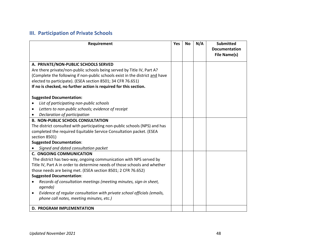## **III. Participation of Private Schools**

| Requirement                                                                          | <b>Yes</b> | <b>No</b> | N/A | <b>Submitted</b><br><b>Documentation</b> |
|--------------------------------------------------------------------------------------|------------|-----------|-----|------------------------------------------|
|                                                                                      |            |           |     | <b>File Name(s)</b>                      |
| A. PRIVATE/NON-PUBLIC SCHOOLS SERVED                                                 |            |           |     |                                          |
| Are there private/non-public schools being served by Title IV, Part A?               |            |           |     |                                          |
| (Complete the following if non-public schools exist in the district and have         |            |           |     |                                          |
| elected to participate). (ESEA section 8501; 34 CFR 76.651)                          |            |           |     |                                          |
| If no is checked, no further action is required for this section.                    |            |           |     |                                          |
| <b>Suggested Documentation:</b>                                                      |            |           |     |                                          |
| List of participating non-public schools<br>$\bullet$                                |            |           |     |                                          |
| Letters to non-public schools; evidence of receipt<br>٠                              |            |           |     |                                          |
| Declaration of participation<br>$\bullet$                                            |            |           |     |                                          |
| <b>B. NON-PUBLIC SCHOOL CONSULTATION</b>                                             |            |           |     |                                          |
| The district consulted with participating non-public schools (NPS) and has           |            |           |     |                                          |
| completed the required Equitable Service Consultation packet. (ESEA                  |            |           |     |                                          |
| section 8501)                                                                        |            |           |     |                                          |
| <b>Suggested Documentation:</b>                                                      |            |           |     |                                          |
| Signed and dated consultation packet                                                 |            |           |     |                                          |
| <b>C. ONGOING COMMUNICATION</b>                                                      |            |           |     |                                          |
| The district has two-way, ongoing communication with NPS served by                   |            |           |     |                                          |
| Title IV, Part A in order to determine needs of those schools and whether            |            |           |     |                                          |
| those needs are being met. (ESEA section 8501; 2 CFR 76.652)                         |            |           |     |                                          |
| <b>Suggested Documentation:</b>                                                      |            |           |     |                                          |
| Records of consultation meetings (meeting minutes, sign-in sheet,                    |            |           |     |                                          |
| agenda)                                                                              |            |           |     |                                          |
| Evidence of regular consultation with private school officials (emails,<br>$\bullet$ |            |           |     |                                          |
| phone call notes, meeting minutes, etc.)                                             |            |           |     |                                          |
| <b>D. PROGRAM IMPLEMENTATION</b>                                                     |            |           |     |                                          |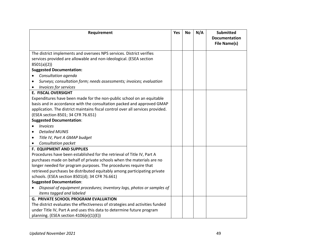| Requirement                                                                                                                                              | Yes | <b>No</b> | N/A | <b>Submitted</b><br><b>Documentation</b><br><b>File Name(s)</b> |
|----------------------------------------------------------------------------------------------------------------------------------------------------------|-----|-----------|-----|-----------------------------------------------------------------|
| The district implements and oversees NPS services. District verifies<br>services provided are allowable and non-ideological. (ESEA section<br>8501(a)(2) |     |           |     |                                                                 |
| <b>Suggested Documentation:</b>                                                                                                                          |     |           |     |                                                                 |
| Consultation agenda                                                                                                                                      |     |           |     |                                                                 |
| Surveys; consultation form; needs assessments; invoices; evaluation                                                                                      |     |           |     |                                                                 |
| <b>Invoices for services</b>                                                                                                                             |     |           |     |                                                                 |
| <b>E. FISCAL OVERSIGHT</b>                                                                                                                               |     |           |     |                                                                 |
| Expenditures have been made for the non-public school on an equitable                                                                                    |     |           |     |                                                                 |
| basis and in accordance with the consultation packed and approved GMAP                                                                                   |     |           |     |                                                                 |
| application. The district maintains fiscal control over all services provided.                                                                           |     |           |     |                                                                 |
| (ESEA section 8501; 34 CFR 76.651)                                                                                                                       |     |           |     |                                                                 |
| <b>Suggested Documentation:</b>                                                                                                                          |     |           |     |                                                                 |
| <b>Invoices</b>                                                                                                                                          |     |           |     |                                                                 |
| <b>Detailed MUNIS</b><br>$\bullet$                                                                                                                       |     |           |     |                                                                 |
| Title IV, Part A GMAP budget<br>$\bullet$                                                                                                                |     |           |     |                                                                 |
| Consultation packet                                                                                                                                      |     |           |     |                                                                 |
| <b>F. EQUIPMENT AND SUPPLIES</b>                                                                                                                         |     |           |     |                                                                 |
| Procedures have been established for the retrieval of Title IV, Part A                                                                                   |     |           |     |                                                                 |
| purchases made on behalf of private schools when the materials are no                                                                                    |     |           |     |                                                                 |
| longer needed for program purposes. The procedures require that                                                                                          |     |           |     |                                                                 |
| retrieved purchases be distributed equitably among participating private                                                                                 |     |           |     |                                                                 |
| schools. (ESEA section 8501(d); 34 CFR 76.661)                                                                                                           |     |           |     |                                                                 |
| <b>Suggested Documentation:</b>                                                                                                                          |     |           |     |                                                                 |
| Disposal of equipment procedures; inventory logs, photos or samples of                                                                                   |     |           |     |                                                                 |
| items tagged and labeled                                                                                                                                 |     |           |     |                                                                 |
| <b>G. PRIVATE SCHOOL PROGRAM EVALUATION</b>                                                                                                              |     |           |     |                                                                 |
| The district evaluates the effectiveness of strategies and activities funded                                                                             |     |           |     |                                                                 |
| under Title IV, Part A and uses this data to determine future program<br>planning. (ESEA section 4106(e)(1)(E))                                          |     |           |     |                                                                 |